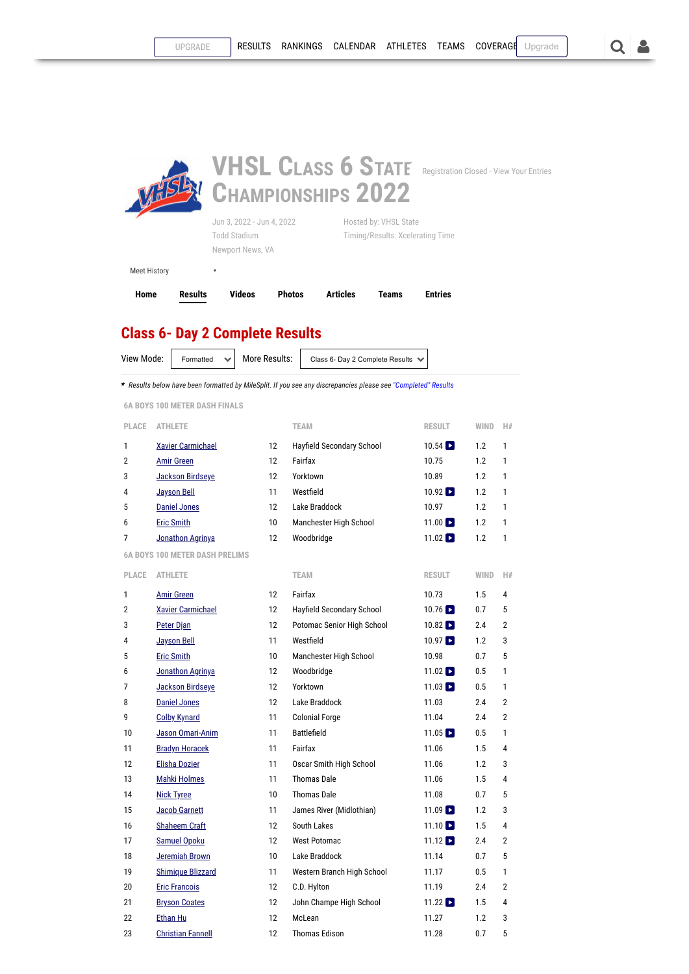

## **Class 6- Day 2 Complete Results**

View Mode: Formatted  $\vee$  More Results: Class 6- Day 2 Complete Results  $\vee$ 

*\* Results below have been formatted by MileSplit. If you see any discrepancies please see ["Completed" Results](https://va.milesplit.com/meets/485229-vhsl-class-6-state-championships-2022/results/821512/raw)*

<span id="page-0-0"></span>**6A BOYS 100 METER DASH FINALS**

| PLACE          | <b>ATHLETE</b>                        |    | <b>TEAM</b>                | <b>RESULT</b>                 | <b>WIND</b> | H#             |
|----------------|---------------------------------------|----|----------------------------|-------------------------------|-------------|----------------|
| 1              | <b>Xavier Carmichael</b>              | 12 | Hayfield Secondary School  | $10.54$ $\blacksquare$        | 1.2         | 1              |
| $\overline{2}$ | <b>Amir Green</b>                     | 12 | Fairfax                    | 10.75                         | 1.2         | 1              |
| 3              | Jackson Birdseye                      | 12 | Yorktown                   | 10.89                         | 1.2         | 1              |
| 4              | <b>Jayson Bell</b>                    | 11 | Westfield                  | $10.92$ $\triangleright$      | 1.2         | 1              |
| 5              | <b>Daniel Jones</b>                   | 12 | Lake Braddock              | 10.97                         | 1.2         | 1              |
| 6              | <b>Eric Smith</b>                     | 10 | Manchester High School     | $11.00$ $\blacktriangleright$ | 1.2         | 1              |
| 7              | Jonathon Agrinya                      | 12 | Woodbridge                 | $11.02$ $\blacktriangleright$ | 1.2         | 1              |
|                | <b>6A BOYS 100 METER DASH PRELIMS</b> |    |                            |                               |             |                |
| PLACE          | <b>ATHLETE</b>                        |    | <b>TEAM</b>                | <b>RESULT</b>                 | <b>WIND</b> | H#             |
| 1              | <b>Amir Green</b>                     | 12 | Fairfax                    | 10.73                         | 1.5         | 4              |
| $\overline{2}$ | <b>Xavier Carmichael</b>              | 12 | Hayfield Secondary School  | $10.76$ $\triangleright$      | 0.7         | 5              |
| 3              | Peter Djan                            | 12 | Potomac Senior High School | $10.82$ $\triangleright$      | 2.4         | $\overline{2}$ |
| 4              | <b>Jayson Bell</b>                    | 11 | Westfield                  | $10.97$ $\triangleright$      | 1.2         | 3              |
| 5              | <b>Eric Smith</b>                     | 10 | Manchester High School     | 10.98                         | 0.7         | 5              |
| 6              | Jonathon Agrinya                      | 12 | Woodbridge                 | $11.02$ $\blacktriangleright$ | 0.5         | 1              |
| 7              | Jackson Birdseye                      | 12 | Yorktown                   | $11.03$ $\blacksquare$        | 0.5         | 1              |
| 8              | <b>Daniel Jones</b>                   | 12 | Lake Braddock              | 11.03                         | 2.4         | $\overline{2}$ |
| 9              | <b>Colby Kynard</b>                   | 11 | <b>Colonial Forge</b>      | 11.04                         | 2.4         | $\overline{2}$ |
| 10             | Jason Omari-Anim                      | 11 | <b>Battlefield</b>         | $11.05$ $\blacksquare$        | 0.5         | 1              |
| 11             | <b>Bradyn Horacek</b>                 | 11 | Fairfax                    | 11.06                         | 1.5         | 4              |
| 12             | <b>Elisha Dozier</b>                  | 11 | Oscar Smith High School    | 11.06                         | 1.2         | 3              |
| 13             | <b>Mahki Holmes</b>                   | 11 | <b>Thomas Dale</b>         | 11.06                         | 1.5         | 4              |
| 14             | <b>Nick Tyree</b>                     | 10 | <b>Thomas Dale</b>         | 11.08                         | 0.7         | 5              |
| 15             | <b>Jacob Garnett</b>                  | 11 | James River (Midlothian)   | $11.09$ $\blacktriangleright$ | 1.2         | 3              |
| 16             | <b>Shaheem Craft</b>                  | 12 | South Lakes                | $11.10$ $\blacksquare$        | 1.5         | 4              |
| 17             | <b>Samuel Opoku</b>                   | 12 | <b>West Potomac</b>        | $11.12$ $\blacksquare$        | 2.4         | $\overline{2}$ |
| 18             | <b>Jeremiah Brown</b>                 | 10 | Lake Braddock              | 11.14                         | 0.7         | 5              |
| 19             | <b>Shimique Blizzard</b>              | 11 | Western Branch High School | 11.17                         | 0.5         | 1              |
| 20             | <b>Eric Francois</b>                  | 12 | C.D. Hylton                | 11.19                         | 2.4         | 2              |
| 21             | <b>Bryson Coates</b>                  | 12 | John Champe High School    | $11.22$ $\triangleright$      | 1.5         | 4              |
| 22             | Ethan Hu                              | 12 | McLean                     | 11.27                         | 1.2         | 3              |
| 23             | <b>Christian Fannell</b>              | 12 | <b>Thomas Edison</b>       | 11.28                         | 0.7         | 5              |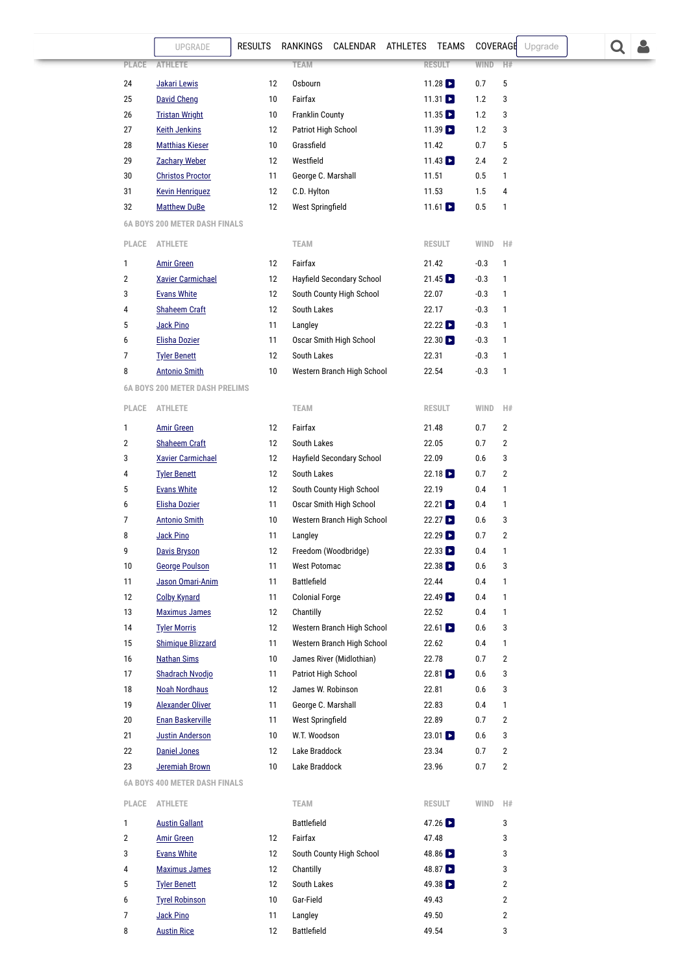<span id="page-1-1"></span><span id="page-1-0"></span>

|              | UPGRADE                               | <b>RESULTS</b> | RANKINGS CALENDAR ATHLETES TEAMS |                          | <b>COVERAGE</b> | Upgrade        |  |  |
|--------------|---------------------------------------|----------------|----------------------------------|--------------------------|-----------------|----------------|--|--|
| PLACE        | <b>ATHLETE</b>                        |                | <b>TEAM</b>                      | <b>RESULT</b>            | WIND            | H#             |  |  |
| 24           | Jakari Lewis                          | 12             | Osbourn                          | 11.28                    | 0.7             | 5              |  |  |
| 25           | <b>David Cheng</b>                    | 10             | Fairfax                          | 11.31 $\square$          | 1.2             | 3              |  |  |
| 26           | <b>Tristan Wright</b>                 | 10             | <b>Franklin County</b>           | $11.35$ $\blacksquare$   | 1.2             | 3              |  |  |
| 27           | <b>Keith Jenkins</b>                  | 12             | Patriot High School              | $11.39$ $\blacksquare$   | 1.2             | 3              |  |  |
| 28           | <b>Matthias Kieser</b>                | 10             | Grassfield                       | 11.42                    | 0.7             | 5              |  |  |
| 29           | <b>Zachary Weber</b>                  | 12             | Westfield                        | $11.43$ $\blacksquare$   | 2.4             | $\overline{2}$ |  |  |
| 30           | <b>Christos Proctor</b>               | 11             | George C. Marshall               | 11.51                    | 0.5             | 1              |  |  |
| 31           | <b>Kevin Henriquez</b>                | 12             | C.D. Hylton                      | 11.53                    | 1.5             | 4              |  |  |
| 32           | <b>Matthew DuBe</b>                   | 12             | West Springfield                 | 11.61 $\Box$             | 0.5             | 1              |  |  |
|              | <b>6A BOYS 200 METER DASH FINALS</b>  |                |                                  |                          |                 |                |  |  |
| PLACE        |                                       |                |                                  |                          |                 | H#             |  |  |
|              | <b>ATHLETE</b>                        |                | <b>TEAM</b>                      | <b>RESULT</b>            | WIND            |                |  |  |
| $\mathbf{1}$ | <b>Amir Green</b>                     | 12             | Fairfax                          | 21.42                    | $-0.3$          | $\mathbf{1}$   |  |  |
| 2            | <b>Xavier Carmichael</b>              | 12             | Hayfield Secondary School        | $21.45$ $\Box$           | $-0.3$          | 1              |  |  |
| 3            | <b>Evans White</b>                    | 12             | South County High School         | 22.07                    | $-0.3$          | 1              |  |  |
| 4            | <b>Shaheem Craft</b>                  | 12             | South Lakes                      | 22.17                    | $-0.3$          | 1              |  |  |
| 5            | <b>Jack Pino</b>                      | 11             | Langley                          | 22.22                    | $-0.3$          | 1              |  |  |
| 6            | <b>Elisha Dozier</b>                  | 11             | Oscar Smith High School          | $22.30$ $\blacksquare$   | $-0.3$          | 1              |  |  |
| 7            | <b>Tyler Benett</b>                   | 12             | South Lakes                      | 22.31                    | $-0.3$          | 1              |  |  |
| 8            | <b>Antonio Smith</b>                  | 10             | Western Branch High School       | 22.54                    | $-0.3$          | 1              |  |  |
|              | <b>6A BOYS 200 METER DASH PRELIMS</b> |                |                                  |                          |                 |                |  |  |
| PLACE        | <b>ATHLETE</b>                        |                | <b>TEAM</b>                      | <b>RESULT</b>            | WIND            | H#             |  |  |
| 1            | <b>Amir Green</b>                     | 12             | Fairfax                          | 21.48                    | 0.7             | 2              |  |  |
| 2            | <b>Shaheem Craft</b>                  | 12             | South Lakes                      | 22.05                    | 0.7             | 2              |  |  |
| 3            | <b>Xavier Carmichael</b>              | 12             | Hayfield Secondary School        | 22.09                    | 0.6             | 3              |  |  |
| 4            | <b>Tyler Benett</b>                   | 12             | South Lakes                      | 22.18                    | 0.7             | $\overline{2}$ |  |  |
| 5            | <b>Evans White</b>                    | 12             | South County High School         | 22.19                    | 0.4             | 1              |  |  |
| 6            | <b>Elisha Dozier</b>                  | 11             | Oscar Smith High School          | 22.21                    | 0.4             | $\mathbf{1}$   |  |  |
| 7            | <b>Antonio Smith</b>                  | 10             | Western Branch High School       | $22.27$ $\triangleright$ | 0.6             | 3              |  |  |
| 8            | Jack Pino                             | 11             | Langley                          | $22.29$ $\triangleright$ | 0.7             | $\overline{2}$ |  |  |
| 9            | <b>Davis Bryson</b>                   | 12             | Freedom (Woodbridge)             | 22.33                    | 0.4             | 1              |  |  |
| 10           | <b>George Poulson</b>                 | 11             | <b>West Potomac</b>              | 22.38                    | 0.6             | 3              |  |  |
| 11           | Jason Omari-Anim                      | 11             | <b>Battlefield</b>               | 22.44                    | 0.4             | 1              |  |  |
| 12           | <b>Colby Kynard</b>                   | 11             | <b>Colonial Forge</b>            | $22.49$ $\blacksquare$   | 0.4             | 1              |  |  |
| 13           | <b>Maximus James</b>                  | 12             | Chantilly                        | 22.52                    | 0.4             | 1              |  |  |
| 14           | <b>Tyler Morris</b>                   | 12             | Western Branch High School       | $22.61$ $\blacksquare$   | 0.6             | 3              |  |  |
| 15           | <b>Shimique Blizzard</b>              | 11             | Western Branch High School       | 22.62                    | 0.4             | 1              |  |  |
| 16           | <b>Nathan Sims</b>                    | 10             | James River (Midlothian)         | 22.78                    | 0.7             | 2              |  |  |
| 17           | Shadrach Nvodjo                       | 11             | Patriot High School              | 22.81                    | 0.6             | 3              |  |  |
| 18           | <b>Noah Nordhaus</b>                  | 12             | James W. Robinson                | 22.81                    | 0.6             | 3              |  |  |
| 19           | <b>Alexander Oliver</b>               | 11             | George C. Marshall               | 22.83                    | 0.4             | 1              |  |  |
| 20           | <b>Enan Baskerville</b>               | 11             | West Springfield                 | 22.89                    | 0.7             | 2              |  |  |
| 21           | <b>Justin Anderson</b>                | 10             | W.T. Woodson                     | $23.01$ $\blacksquare$   | 0.6             | 3              |  |  |
| 22           | <b>Daniel Jones</b>                   | 12             | Lake Braddock                    | 23.34                    | 0.7             | $\overline{2}$ |  |  |
| 23           | Jeremiah Brown                        | 10             | Lake Braddock                    | 23.96                    | 0.7             | $\overline{2}$ |  |  |
|              | <b>6A BOYS 400 METER DASH FINALS</b>  |                |                                  |                          |                 |                |  |  |
| PLACE        | ATHLETE                               |                | TEAM                             | <b>RESULT</b>            | WIND            | H#             |  |  |
| $\mathbf{1}$ | <b>Austin Gallant</b>                 |                | Battlefield                      | 47.26                    |                 | 3              |  |  |
| 2            | <b>Amir Green</b>                     | 12             | Fairfax                          | 47.48                    |                 | 3              |  |  |
| 3            | <b>Evans White</b>                    | 12             | South County High School         | 48.86                    |                 | 3              |  |  |
| 4            | <b>Maximus James</b>                  | 12             | Chantilly                        | 48.87                    |                 | 3              |  |  |
| 5            | <b>Tyler Benett</b>                   | 12             | South Lakes                      | 49.38                    |                 | $\overline{2}$ |  |  |
| 6            | <b>Tyrel Robinson</b>                 | 10             | Gar-Field                        | 49.43                    |                 | $\overline{2}$ |  |  |
| 7            | Jack Pino                             | 11             | Langley                          | 49.50                    |                 | $\overline{2}$ |  |  |
| 8            | <b>Austin Rice</b>                    | 12             | Battlefield                      | 49.54                    |                 | 3              |  |  |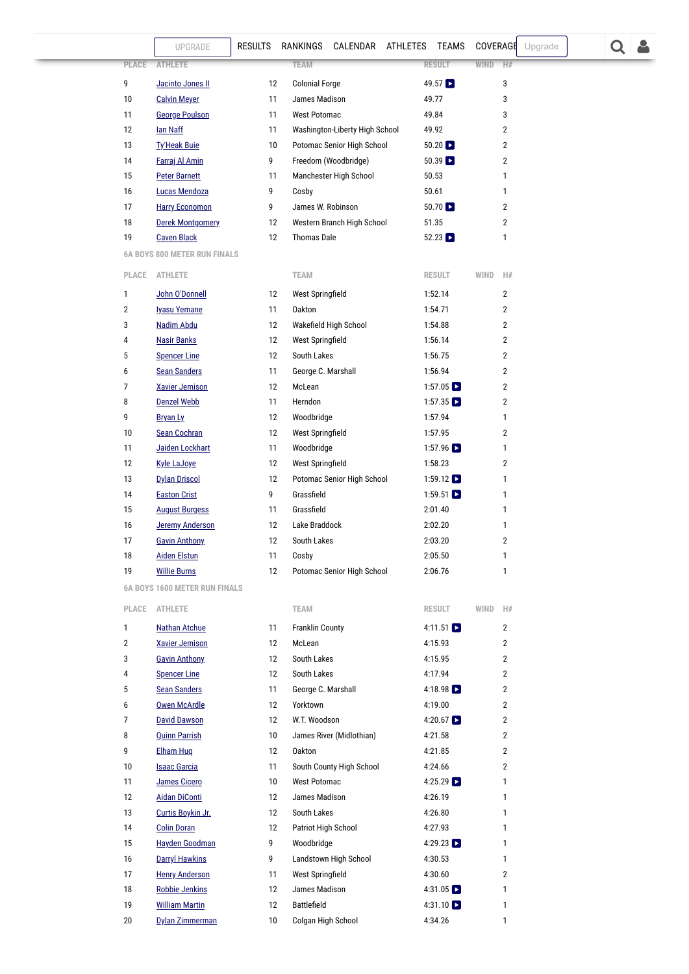<span id="page-2-1"></span><span id="page-2-0"></span>

|              | UPGRADE                                        | <b>RESULTS</b> | RANKINGS                            | CALENDAR ATHLETES              | TEAMS                               | COVERAGE    |                         | Upgrade |  |  |
|--------------|------------------------------------------------|----------------|-------------------------------------|--------------------------------|-------------------------------------|-------------|-------------------------|---------|--|--|
| <b>PLACE</b> | <b>ATHLETE</b>                                 |                | <b>TEAM</b>                         |                                | <b>RESULT</b>                       | <b>WIND</b> | H#                      |         |  |  |
| 9            | Jacinto Jones II                               | 12             | <b>Colonial Forge</b>               |                                | 49.57                               |             | 3                       |         |  |  |
| 10           | <b>Calvin Meyer</b>                            | 11             | James Madison                       |                                | 49.77                               |             | 3                       |         |  |  |
| 11           | <b>George Poulson</b>                          | 11             | <b>West Potomac</b>                 |                                | 49.84                               |             | 3                       |         |  |  |
| 12           | lan Naff                                       | 11             |                                     | Washington-Liberty High School | 49.92                               |             | $\overline{2}$          |         |  |  |
| 13           | <b>Ty'Heak Buie</b>                            | 10             |                                     | Potomac Senior High School     | $50.20$ $\triangleright$            |             | $\overline{\mathbf{c}}$ |         |  |  |
| 14           | Farraj Al Amin                                 | 9              |                                     | Freedom (Woodbridge)           | $50.39$ $\Box$                      |             | $\overline{\mathbf{c}}$ |         |  |  |
| 15           | <b>Peter Barnett</b>                           | 11             |                                     | Manchester High School         | 50.53                               |             | 1                       |         |  |  |
| 16           | Lucas Mendoza                                  | 9              | Cosby                               |                                | 50.61                               |             | 1                       |         |  |  |
| 17           | <b>Harry Economon</b>                          | 9              | James W. Robinson                   |                                | $50.70$ $\triangleright$            |             | $\overline{\mathbf{c}}$ |         |  |  |
| 18           | <b>Derek Montgomery</b>                        | 12             |                                     | Western Branch High School     | 51.35                               |             | $\overline{\mathbf{c}}$ |         |  |  |
| 19           | <b>Caven Black</b>                             | 12             | <b>Thomas Dale</b>                  |                                | $52.23$ $\Box$                      |             | 1                       |         |  |  |
|              | <b>6A BOYS 800 METER RUN FINALS</b>            |                |                                     |                                |                                     |             |                         |         |  |  |
| PLACE        | <b>ATHLETE</b>                                 |                | <b>TEAM</b>                         |                                | <b>RESULT</b>                       | WIND        | H#                      |         |  |  |
| 1            | John O'Donnell                                 | 12             | West Springfield                    |                                | 1:52.14                             |             | $\overline{2}$          |         |  |  |
| 2            | <b>Iyasu Yemane</b>                            | 11             | <b>Oakton</b>                       |                                | 1:54.71                             |             | $\overline{2}$          |         |  |  |
| 3            | Nadim Abdu                                     | 12             |                                     | Wakefield High School          | 1:54.88                             |             | $\overline{2}$          |         |  |  |
| 4            | <b>Nasir Banks</b>                             | 12             | West Springfield                    |                                | 1:56.14                             |             | $\overline{2}$          |         |  |  |
| 5            | <b>Spencer Line</b>                            | 12             | South Lakes                         |                                | 1:56.75                             |             | $\overline{2}$          |         |  |  |
| 6            | <b>Sean Sanders</b>                            | 11             | George C. Marshall                  |                                | 1:56.94                             |             | 2                       |         |  |  |
| 7            | <b>Xavier Jemison</b>                          | 12             | McLean                              |                                | $1:57.05$ $\triangleright$          |             | $\overline{2}$          |         |  |  |
| 8            | <b>Denzel Webb</b>                             | 11             | Herndon                             |                                | $1:57.35$ $\Box$                    |             | $\overline{2}$          |         |  |  |
| 9            | Bryan Ly                                       | 12             | Woodbridge                          |                                | 1:57.94                             |             | 1                       |         |  |  |
| 10           | Sean Cochran                                   | 12             | West Springfield                    |                                | 1:57.95                             |             | $\overline{\mathbf{c}}$ |         |  |  |
| 11           | Jaiden Lockhart                                | 11             | Woodbridge                          |                                | 1:57.96 $\Box$                      |             | 1                       |         |  |  |
| 12           | <b>Kyle LaJoye</b>                             | 12             | West Springfield                    |                                | 1:58.23                             |             | $\overline{2}$          |         |  |  |
| 13           | <b>Dylan Driscol</b>                           | 12             |                                     | Potomac Senior High School     | $1:59.12$ $\triangleright$          |             | 1                       |         |  |  |
| 14           | <b>Easton Crist</b>                            | 9              | Grassfield                          |                                | 1:59.51 $\Box$                      |             | 1                       |         |  |  |
| 15           | <b>August Burgess</b>                          | 11             | Grassfield                          |                                | 2:01.40                             |             | 1                       |         |  |  |
| 16           | <b>Jeremy Anderson</b>                         | 12             | Lake Braddock                       |                                | 2:02.20                             |             | 1                       |         |  |  |
| 17           | <b>Gavin Anthony</b>                           | 12             | South Lakes                         |                                | 2:03.20                             |             | $\overline{\mathbf{c}}$ |         |  |  |
| 18           | <b>Aiden Elstun</b>                            | 11             | Cosby                               |                                | 2:05.50                             |             | 1                       |         |  |  |
| 19           | <b>Willie Burns</b>                            | 12             |                                     | Potomac Senior High School     | 2:06.76                             |             | 1                       |         |  |  |
|              | <b>6A BOYS 1600 METER RUN FINALS</b>           |                |                                     |                                |                                     |             |                         |         |  |  |
| PLACE        | <b>ATHLETE</b>                                 |                | <b>TEAM</b>                         |                                | <b>RESULT</b>                       | WIND        | H#                      |         |  |  |
| 1            | <b>Nathan Atchue</b>                           | 11             | <b>Franklin County</b>              |                                | 4:11.51 $\triangleright$            |             | $\overline{2}$          |         |  |  |
| 2            | <b>Xavier Jemison</b>                          | 12             | McLean                              |                                | 4:15.93                             |             | $\overline{2}$          |         |  |  |
| 3            | <b>Gavin Anthony</b>                           | 12             | South Lakes                         |                                | 4:15.95                             |             | $\overline{2}$          |         |  |  |
| 4            | <b>Spencer Line</b>                            | 12             | South Lakes                         |                                | 4:17.94                             |             | $\overline{2}$          |         |  |  |
| 5            | <b>Sean Sanders</b>                            | 11             | George C. Marshall                  |                                | 4:18.98 $\Box$                      |             | $\overline{2}$          |         |  |  |
| 6            | <b>Owen McArdle</b>                            | 12             | Yorktown                            |                                | 4:19.00                             |             | $\overline{2}$          |         |  |  |
| 7            | <b>David Dawson</b>                            | 12             | W.T. Woodson                        |                                | 4:20.67 $\Box$                      |             | $\overline{2}$          |         |  |  |
| 8            | <b>Quinn Parrish</b>                           | 10             |                                     | James River (Midlothian)       | 4:21.58                             |             | $\overline{2}$          |         |  |  |
| 9            | <b>Elham Hug</b>                               | 12             | <b>Oakton</b>                       |                                | 4:21.85                             |             | $\overline{2}$          |         |  |  |
| 10           | <b>Isaac Garcia</b>                            | 11             |                                     | South County High School       | 4:24.66                             |             | $\overline{2}$          |         |  |  |
| 11           | James Cicero                                   | $10$           | <b>West Potomac</b>                 |                                | 4:25.29 $\Box$                      |             | 1                       |         |  |  |
| 12           | <b>Aidan DiConti</b>                           | 12             | James Madison                       |                                | 4:26.19                             |             | 1                       |         |  |  |
| 13           | Curtis Boykin Jr.                              | 12             | South Lakes                         |                                | 4:26.80                             |             | 1                       |         |  |  |
| 14           | <b>Colin Doran</b>                             | 12             | Patriot High School                 |                                | 4:27.93                             |             | 1                       |         |  |  |
| 15           | <b>Hayden Goodman</b>                          | 9              | Woodbridge                          |                                | 4:29.23 $\Box$                      |             | 1                       |         |  |  |
| 16           | <b>Darryl Hawkins</b>                          | 9              |                                     | Landstown High School          | 4:30.53                             |             | 1                       |         |  |  |
| 17           | <b>Henry Anderson</b>                          | 11             | West Springfield                    |                                | 4:30.60<br>4:31.05 $\triangleright$ |             | $\overline{2}$          |         |  |  |
| 18<br>19     | <b>Robbie Jenkins</b><br><b>William Martin</b> | 12<br>12       | James Madison<br><b>Battlefield</b> |                                | 4:31.10 $\Box$                      |             | 1<br>1                  |         |  |  |
| 20           | Dylan Zimmerman                                | 10             | Colgan High School                  |                                | 4:34.26                             |             | 1                       |         |  |  |
|              |                                                |                |                                     |                                |                                     |             |                         |         |  |  |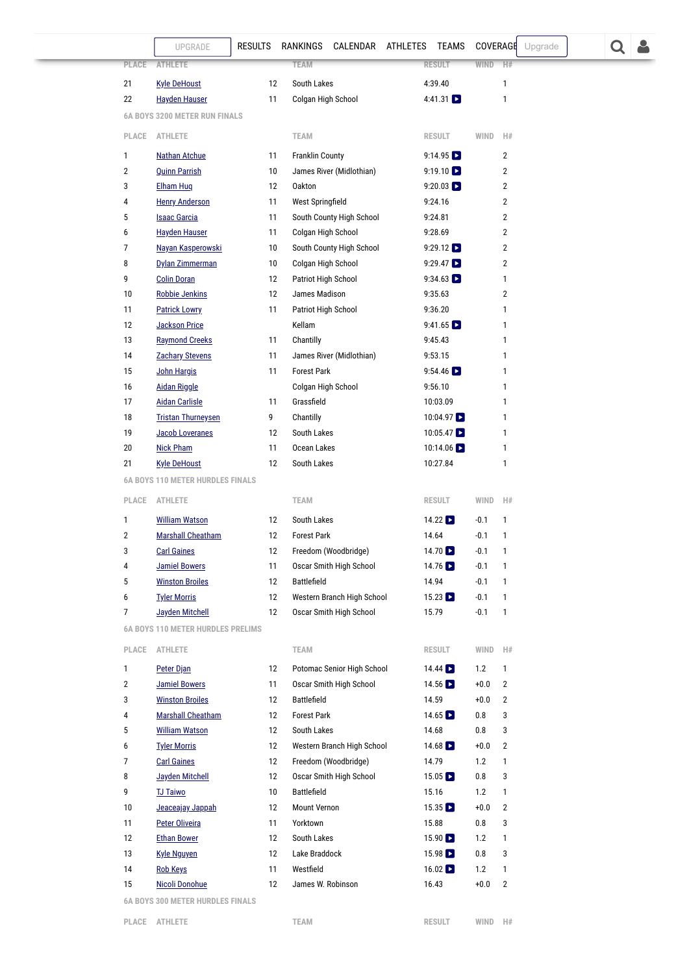<span id="page-3-1"></span><span id="page-3-0"></span>

|              | UPGRADE                                  | <b>RESULTS</b> | RANKINGS CALENDAR ATHLETES TEAMS |                             | COVERAGE<br>Upgrade      |  |
|--------------|------------------------------------------|----------------|----------------------------------|-----------------------------|--------------------------|--|
|              | <b>PLACE</b><br><b>ATHLETE</b>           |                | <b>TEAM</b>                      | <b>RESULT</b>               | <b>WIND</b><br>H#        |  |
| 21           | <b>Kyle DeHoust</b>                      | 12             | South Lakes                      | 4:39.40                     | 1                        |  |
| 22           | <b>Hayden Hauser</b>                     | 11             | Colgan High School               | 4:41.31 $\Box$              | 1                        |  |
|              | <b>6A BOYS 3200 METER RUN FINALS</b>     |                |                                  |                             |                          |  |
|              | PLACE<br><b>ATHLETE</b>                  |                | <b>TEAM</b>                      | <b>RESULT</b>               | WIND<br>H#               |  |
| 1            | <b>Nathan Atchue</b>                     | 11             | <b>Franklin County</b>           | 9:14.95                     | $\overline{2}$           |  |
| 2            | <b>Quinn Parrish</b>                     | 10             | James River (Midlothian)         | $9:19.10$ $\triangleright$  | 2                        |  |
| 3            | <b>Elham Hug</b>                         | 12             | <b>Oakton</b>                    | $9:20.03$ $\triangleright$  | $\overline{2}$           |  |
| 4            | <b>Henry Anderson</b>                    | 11             | West Springfield                 | 9:24.16                     | $\overline{2}$           |  |
| 5            | <b>Isaac Garcia</b>                      | 11             | South County High School         | 9:24.81                     | $\overline{2}$           |  |
| 6            | <b>Hayden Hauser</b>                     | 11             | Colgan High School               | 9:28.69                     | $\overline{2}$           |  |
| 7            | Nayan Kasperowski                        | 10             | South County High School         | 9:29.12                     | $\overline{2}$           |  |
| 8            | Dylan Zimmerman                          | 10             | Colgan High School               | 9:29.47                     | $\overline{2}$           |  |
| 9            | <b>Colin Doran</b>                       | 12             | Patriot High School              | $9:34.63$ $\Box$            | 1                        |  |
| $10$         | <b>Robbie Jenkins</b>                    | 12             | James Madison                    | 9:35.63                     | $\overline{2}$           |  |
| 11           | <b>Patrick Lowry</b>                     | 11             | Patriot High School              | 9:36.20                     | 1                        |  |
| 12           | <b>Jackson Price</b>                     |                | Kellam                           | $9:41.65$ $\Box$            | 1                        |  |
| 13           | <b>Raymond Creeks</b>                    | 11             | Chantilly                        | 9:45.43                     | 1                        |  |
| 14           | <b>Zachary Stevens</b>                   | 11             | James River (Midlothian)         | 9:53.15                     | 1                        |  |
| 15           | John Hargis                              | 11             | <b>Forest Park</b>               | 9:54.46                     | 1                        |  |
| 16           | <b>Aidan Riggle</b>                      |                | Colgan High School               | 9:56.10                     | 1                        |  |
| 17           | <b>Aidan Carlisle</b>                    | 11             | Grassfield                       | 10:03.09                    | 1                        |  |
| 18           | <b>Tristan Thurneysen</b>                | 9              | Chantilly                        | $10:04.97$ $\triangleright$ | 1                        |  |
| 19           | <b>Jacob Loveranes</b>                   | 12             | South Lakes                      | $10:05.47$ $\triangleright$ | 1                        |  |
| 20           | <b>Nick Pham</b>                         | 11             | Ocean Lakes                      | 10:14.06                    | 1                        |  |
| 21           | <b>Kyle DeHoust</b>                      | 12             | South Lakes                      | 10:27.84                    | 1                        |  |
|              | <b>6A BOYS 110 METER HURDLES FINALS</b>  |                |                                  |                             |                          |  |
|              | PLACE<br><b>ATHLETE</b>                  |                | <b>TEAM</b>                      | <b>RESULT</b>               | WIND<br>H#               |  |
| 1            | <b>William Watson</b>                    | 12             | South Lakes                      | $14.22$ $\Box$              | $-0.1$<br>1              |  |
| 2            | <b>Marshall Cheatham</b>                 | 12             | <b>Forest Park</b>               | 14.64                       | $-0.1$<br>$\mathbf{1}$   |  |
| 3            | <b>Carl Gaines</b>                       | 12             | Freedom (Woodbridge)             | 14.70                       | $-0.1$<br>1              |  |
| 4            | <b>Jamiel Bowers</b>                     | 11             | Oscar Smith High School          | 14.76 <b>D</b>              | $-0.1$<br>1              |  |
| 5            | <b>Winston Broiles</b>                   | 12             | Battlefield                      | 14.94                       | $-0.1$<br>1              |  |
| 6            | <b>Tyler Morris</b>                      | 12             | Western Branch High School       | $15.23$ $\blacksquare$      | $-0.1$<br>1              |  |
| 7            | Jayden Mitchell                          | 12             | Oscar Smith High School          | 15.79                       | $-0.1$<br>$\mathbf{1}$   |  |
|              | <b>6A BOYS 110 METER HURDLES PRELIMS</b> |                |                                  |                             |                          |  |
|              | PLACE ATHLETE                            |                | <b>TEAM</b>                      | RESULT                      | WIND<br>H#               |  |
| $\mathbf{1}$ | Peter Djan                               | 12             | Potomac Senior High School       | $14.44$ $\Box$              | 1.2<br>$\mathbf{1}$      |  |
| 2            | <b>Jamiel Bowers</b>                     | 11             | Oscar Smith High School          | 14.56 $\Box$                | $+0.0$<br>$\overline{2}$ |  |
| 3            | <b>Winston Broiles</b>                   | 12             | Battlefield                      | 14.59                       | $+0.0$<br>$\overline{2}$ |  |
| 4            | <b>Marshall Cheatham</b>                 | 12             | <b>Forest Park</b>               | 14.65 $\Box$                | 0.8<br>3                 |  |
| 5            | <b>William Watson</b>                    | 12             | South Lakes                      | 14.68                       | 0.8<br>3                 |  |
| 6            | <b>Tyler Morris</b>                      | 12             | Western Branch High School       | 14.68 $\Box$                | $\overline{2}$<br>$+0.0$ |  |
| 7            | <b>Carl Gaines</b>                       | 12             | Freedom (Woodbridge)             | 14.79                       | 1.2<br>$\mathbf{1}$      |  |
| 8            | <b>Jayden Mitchell</b>                   | 12             | Oscar Smith High School          | $15.05$ $\Box$              | 0.8<br>3                 |  |
| 9            | <b>TJ Taiwo</b>                          | 10             | <b>Battlefield</b>               | 15.16                       | 1.2<br>$\mathbf{1}$      |  |
| 10           | Jeaceajay Jappah                         | 12             | <b>Mount Vernon</b>              | $15.35$ $\Box$              | $+0.0$<br>$\overline{2}$ |  |
| 11           | <b>Peter Oliveira</b>                    | 11             | Yorktown                         | 15.88                       | 0.8<br>3                 |  |
| 12           | <b>Ethan Bower</b>                       | 12             | South Lakes                      | $15.90$ $\blacksquare$      | 1.2<br>$\mathbf{1}$      |  |
| 13           | <b>Kyle Nguyen</b>                       | 12             | Lake Braddock                    | $15.98$ $\blacksquare$      | 0.8<br>3                 |  |
| 14           | <b>Rob Keys</b>                          | 11             | Westfield                        | $16.02$ $\Box$              | 1.2<br>$\mathbf{1}$      |  |
| 15           | <b>Nicoli Donohue</b>                    | 12             | James W. Robinson                | 16.43                       | $+0.0$<br>$\overline{2}$ |  |
|              | <b>6A BOYS 300 METER HURDLES FINALS</b>  |                |                                  |                             |                          |  |

<span id="page-3-2"></span>

÷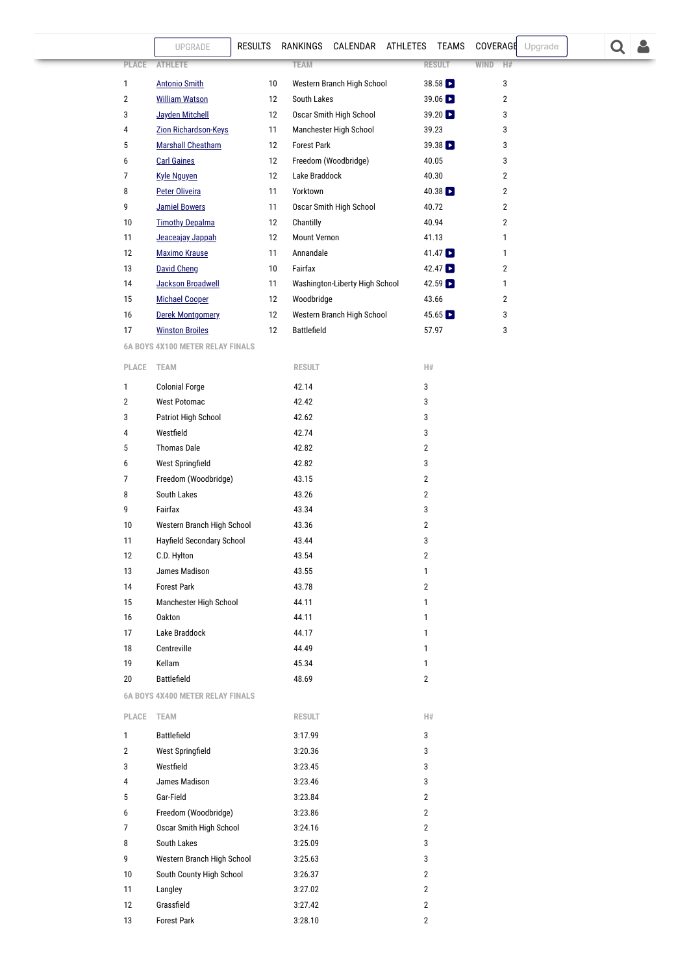## **6** BB**OYS AN B[RESULTS](https://va.milesplit.com/results) [RANKINGS](https://va.milesplit.com/rankings/leaders/high-school-boys/outdoor-track-and-field) [CALENDAR](https://va.milesplit.com/calendar) [ATHLETES](https://va.milesplit.com/athletes) [TEAMS](https://va.milesplit.com/teams) [COVERAGE](#page-13-0) Upgrade <b>[TRAINING](https://va.milesplit.com/training)S**

| <b>PLACE</b> | <b>ATHLETE</b>           |    | <b>TEAM</b>                    | <b>RESULT</b><br><b>WIND</b> | H#             |
|--------------|--------------------------|----|--------------------------------|------------------------------|----------------|
| 1            | <b>Antonio Smith</b>     | 10 | Western Branch High School     | $38.58$ $\blacksquare$       | 3              |
| 2            | <b>William Watson</b>    | 12 | South Lakes                    | $39.06$ $\triangleright$     | $\overline{2}$ |
| 3            | Jayden Mitchell          | 12 | Oscar Smith High School        | $39.20$ $\triangleright$     | 3              |
| 4            | Zion Richardson-Keys     | 11 | Manchester High School         | 39.23                        | 3              |
| 5            | <b>Marshall Cheatham</b> | 12 | <b>Forest Park</b>             | $39.38$ $\triangleright$     | 3              |
| 6            | <b>Carl Gaines</b>       | 12 | Freedom (Woodbridge)           | 40.05                        | 3              |
| 7            | <b>Kyle Nguyen</b>       | 12 | Lake Braddock                  | 40.30                        | $\overline{2}$ |
| 8            | <b>Peter Oliveira</b>    | 11 | Yorktown                       | $40.38$ $\triangleright$     | $\overline{2}$ |
| 9            | <b>Jamiel Bowers</b>     | 11 | Oscar Smith High School        | 40.72                        | $\overline{2}$ |
| 10           | <b>Timothy Depalma</b>   | 12 | Chantilly                      | 40.94                        | $\overline{2}$ |
| 11           | Jeaceajay Jappah         | 12 | <b>Mount Vernon</b>            | 41.13                        | 1              |
| 12           | <b>Maximo Krause</b>     | 11 | Annandale                      | $41.47$ $\triangleright$     | 1              |
| 13           | <b>David Cheng</b>       | 10 | Fairfax                        | $42.47$ $\triangleright$     | 2              |
| 14           | <b>Jackson Broadwell</b> | 11 | Washington-Liberty High School | $42.59$ $\triangleright$     | 1              |
| 15           | <b>Michael Cooper</b>    | 12 | Woodbridge                     | 43.66                        | 2              |
| 16           | Derek Montgomery         | 12 | Western Branch High School     | $45.65$ $\triangleright$     | 3              |
| 17           | <b>Winston Broiles</b>   | 12 | <b>Battlefield</b>             | 57.97                        | 3              |

<span id="page-4-0"></span>**6A BOYS 4X100 METER RELAY FINALS**

| PLACE        | <b>TEAM</b>                             | <b>RESULT</b> | H# |
|--------------|-----------------------------------------|---------------|----|
| 1            | <b>Colonial Forge</b>                   | 42.14         | 3  |
| 2            | <b>West Potomac</b>                     | 42.42         | 3  |
| 3            | Patriot High School                     | 42.62         | 3  |
| 4            | Westfield                               | 42.74         | 3  |
| 5            | <b>Thomas Dale</b>                      | 42.82         | 2  |
| 6            | <b>West Springfield</b>                 | 42.82         | 3  |
| 7            | Freedom (Woodbridge)                    | 43.15         | 2  |
| 8            | South Lakes                             | 43.26         | 2  |
| 9            | Fairfax                                 | 43.34         | 3  |
| 10           | Western Branch High School              | 43.36         | 2  |
| 11           | Hayfield Secondary School               | 43.44         | 3  |
| 12           | C.D. Hylton                             | 43.54         | 2  |
| 13           | James Madison                           | 43.55         | 1  |
| 14           | <b>Forest Park</b>                      | 43.78         | 2  |
| 15           | Manchester High School                  | 44.11         | 1  |
| 16           | <b>Oakton</b>                           | 44.11         | 1  |
| 17           | Lake Braddock                           | 44.17         | 1  |
| 18           | Centreville                             | 44.49         | 1  |
| 19           | Kellam                                  | 45.34         | 1  |
| 20           | Battlefield                             | 48.69         | 2  |
|              | <b>6A BOYS 4X400 METER RELAY FINALS</b> |               |    |
| <b>PLACE</b> | <b>TEAM</b>                             | <b>RESULT</b> | H# |
|              |                                         |               |    |

<span id="page-4-1"></span>

| 1              | <b>Battlefield</b>         | 3:17.99 | 3              |
|----------------|----------------------------|---------|----------------|
| $\overline{2}$ | West Springfield           | 3:20.36 | 3              |
| 3              | Westfield                  | 3:23.45 | 3              |
| 4              | James Madison              | 3:23.46 | 3              |
| 5              | Gar-Field                  | 3:23.84 | $\overline{2}$ |
| 6              | Freedom (Woodbridge)       | 3:23.86 | $\overline{2}$ |
| 7              | Oscar Smith High School    | 3:24.16 | $\overline{2}$ |
| 8              | South Lakes                | 3:25.09 | 3              |
| 9              | Western Branch High School | 3:25.63 | 3              |
| 10             | South County High School   | 3:26.37 | $\overline{2}$ |
| 11             | Langley                    | 3:27.02 | $\overline{2}$ |
| 12             | Grassfield                 | 3:27.42 | $\overline{2}$ |
| 13             | <b>Forest Park</b>         | 3:28.10 | $\overline{2}$ |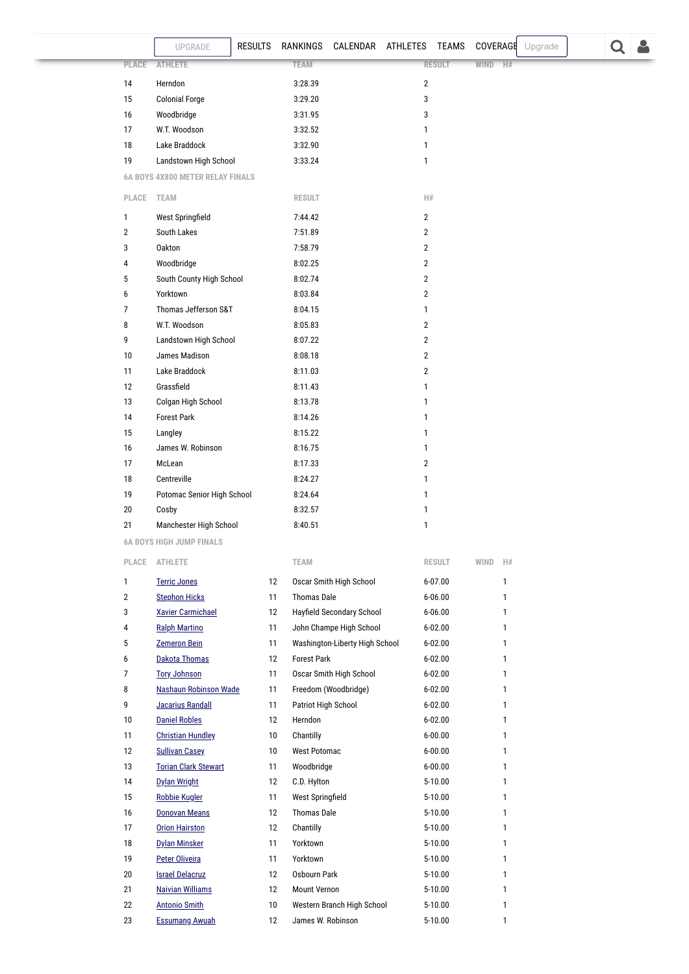<span id="page-5-0"></span>

|                |                               | UPGRADE                          | <b>RESULTS</b> | RANKINGS           | CALENDAR ATHLETES         |                         | TEAMS         | COVERAGE |              | Upgrade |  |  |
|----------------|-------------------------------|----------------------------------|----------------|--------------------|---------------------------|-------------------------|---------------|----------|--------------|---------|--|--|
|                | PLACE                         | <b>ATHLETE</b>                   |                | <b>TEAM</b>        |                           |                         | <b>RESULT</b> | WIND H#  |              |         |  |  |
| 14             |                               | Herndon                          |                | 3:28.39            |                           | $\sqrt{2}$              |               |          |              |         |  |  |
| 15             |                               | <b>Colonial Forge</b>            |                | 3:29.20            |                           | 3                       |               |          |              |         |  |  |
| 16             |                               | Woodbridge                       |                | 3:31.95            |                           | 3                       |               |          |              |         |  |  |
| 17             |                               | W.T. Woodson                     |                | 3:32.52            |                           | $\mathbf{1}$            |               |          |              |         |  |  |
| 18             |                               | Lake Braddock                    |                | 3:32.90            |                           | $\mathbf{1}$            |               |          |              |         |  |  |
| 19             |                               | Landstown High School            |                | 3:33.24            |                           | $\mathbf{1}$            |               |          |              |         |  |  |
|                |                               | 6A BOYS 4X800 METER RELAY FINALS |                |                    |                           |                         |               |          |              |         |  |  |
|                | PLACE TEAM                    |                                  |                | <b>RESULT</b>      |                           | H#                      |               |          |              |         |  |  |
| $\mathbf{1}$   |                               | West Springfield                 |                | 7:44.42            |                           | $\overline{2}$          |               |          |              |         |  |  |
| $\overline{2}$ |                               | South Lakes                      |                | 7:51.89            |                           | $\overline{2}$          |               |          |              |         |  |  |
| 3              |                               | <b>Oakton</b>                    |                | 7:58.79            |                           | $\overline{2}$          |               |          |              |         |  |  |
| $\overline{4}$ |                               | Woodbridge                       |                | 8:02.25            |                           | $\overline{2}$          |               |          |              |         |  |  |
| $\mathbf 5$    |                               | South County High School         |                | 8:02.74            |                           | $\overline{\mathbf{c}}$ |               |          |              |         |  |  |
| 6              |                               | Yorktown                         |                | 8:03.84            |                           | $\overline{2}$          |               |          |              |         |  |  |
| $\overline{7}$ |                               | Thomas Jefferson S&T             |                | 8:04.15            |                           | $\mathbf{1}$            |               |          |              |         |  |  |
| 8              |                               | W.T. Woodson                     |                | 8:05.83            |                           | $\overline{2}$          |               |          |              |         |  |  |
| 9              |                               | Landstown High School            |                | 8:07.22            |                           | $\overline{2}$          |               |          |              |         |  |  |
| 10             |                               | James Madison                    |                | 8:08.18            |                           | $\overline{2}$          |               |          |              |         |  |  |
| 11             |                               | Lake Braddock                    |                | 8:11.03            |                           | $\overline{\mathbf{2}}$ |               |          |              |         |  |  |
| 12             |                               | Grassfield                       |                | 8:11.43            |                           | $\mathbf{1}$            |               |          |              |         |  |  |
| 13             |                               | Colgan High School               |                | 8:13.78            |                           | $\mathbf{1}$            |               |          |              |         |  |  |
| 14             |                               | <b>Forest Park</b>               |                | 8:14.26            |                           | $\mathbf{1}$            |               |          |              |         |  |  |
| 15             |                               | Langley                          |                | 8:15.22            |                           | 1                       |               |          |              |         |  |  |
| 16             |                               | James W. Robinson                |                | 8:16.75            |                           | 1                       |               |          |              |         |  |  |
| 17             |                               | McLean                           |                | 8:17.33            |                           | $\overline{2}$          |               |          |              |         |  |  |
| 18             |                               | Centreville                      |                | 8:24.27            |                           | $\mathbf{1}$            |               |          |              |         |  |  |
| 19             |                               | Potomac Senior High School       |                | 8:24.64            |                           | $\mathbf{1}$            |               |          |              |         |  |  |
| 20             |                               | Cosby                            |                | 8:32.57            |                           | $\mathbf{1}$            |               |          |              |         |  |  |
| 21             |                               | Manchester High School           |                | 8:40.51            |                           | $\mathbf{1}$            |               |          |              |         |  |  |
|                |                               | <b>6A BOYS HIGH JUMP FINALS</b>  |                |                    |                           |                         |               |          |              |         |  |  |
|                | $\ensuremath{\mathsf{PLACE}}$ | <b>ATHLETE</b>                   |                | <b>TEAM</b>        |                           |                         | <b>RESULT</b> | WIND     | H#           |         |  |  |
| $\mathbf{1}$   |                               | <b>Terric Jones</b>              | 12             |                    | Oscar Smith High School   |                         | $6 - 07.00$   |          | $\mathbf{1}$ |         |  |  |
| $\overline{2}$ |                               | <b>Stephon Hicks</b>             | 11             | <b>Thomas Dale</b> |                           |                         | $6 - 06.00$   |          | $\mathbf{1}$ |         |  |  |
| 3              |                               | <b>Xavier Carmichael</b>         | 12             |                    | Hayfield Secondary School |                         | $6 - 06.00$   |          | $\mathbf{1}$ |         |  |  |
| 4              |                               | <b>Ralph Martino</b>             | 11             |                    | John Champe High School   |                         | $6 - 02.00$   |          | $\mathbf{1}$ |         |  |  |

<span id="page-5-1"></span>

| 4  | <b>Ralph Martino</b>         | 11              | John Champe High School        | $6 - 02.00$ | 1 |
|----|------------------------------|-----------------|--------------------------------|-------------|---|
| 5  | <b>Zemeron Bein</b>          | 11              | Washington-Liberty High School | $6 - 02.00$ | 1 |
| 6  | Dakota Thomas                | 12              | <b>Forest Park</b>             | $6 - 02.00$ | 1 |
| 7  | <b>Tory Johnson</b>          | 11              | Oscar Smith High School        | $6 - 02.00$ | 1 |
| 8  | <b>Nashaun Robinson Wade</b> | 11              | Freedom (Woodbridge)           | $6 - 02.00$ | 1 |
| 9  | Jacarius Randall             | 11              | Patriot High School            | $6 - 02.00$ | 1 |
| 10 | <b>Daniel Robles</b>         | 12              | Herndon                        | $6 - 02.00$ | 1 |
| 11 | <b>Christian Hundley</b>     | 10              | Chantilly                      | $6 - 00.00$ | 1 |
| 12 | <b>Sullivan Casey</b>        | 10              | <b>West Potomac</b>            | $6 - 00.00$ | 1 |
| 13 | <b>Torian Clark Stewart</b>  | 11              | Woodbridge                     | $6 - 00.00$ | 1 |
| 14 | Dylan Wright                 | 12              | C.D. Hylton                    | 5-10.00     | 1 |
| 15 | <b>Robbie Kugler</b>         | 11              | <b>West Springfield</b>        | 5-10.00     | 1 |
| 16 | Donovan Means                | 12              | <b>Thomas Dale</b>             | 5-10.00     | 1 |
| 17 | <b>Orion Hairston</b>        | 12              | Chantilly                      | 5-10.00     | 1 |
| 18 | <b>Dylan Minsker</b>         | 11              | Yorktown                       | 5-10.00     | 1 |
| 19 | Peter Oliveira               | 11              | Yorktown                       | 5-10.00     | 1 |
| 20 | <b>Israel Delacruz</b>       | 12              | Osbourn Park                   | 5-10.00     | 1 |
| 21 | <b>Naivian Williams</b>      | 12              | <b>Mount Vernon</b>            | 5-10.00     | 1 |
| 22 | <b>Antonio Smith</b>         | 10 <sup>°</sup> | Western Branch High School     | 5-10.00     | 1 |
| 23 | <b>Essumang Awuah</b>        | 12              | James W. Robinson              | 5-10.00     | 1 |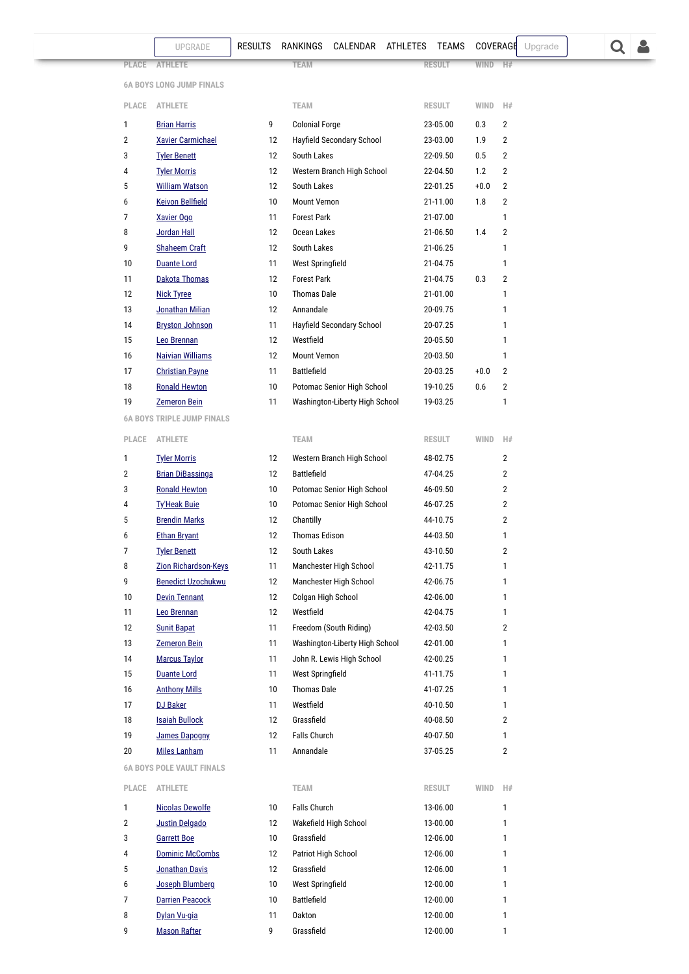[RESULTS](https://va.milesplit.com/results) [RANKINGS](https://va.milesplit.com/rankings/leaders/high-school-boys/outdoor-track-and-field) [CALENDAR](https://va.milesplit.com/calendar) [ATHLETES](https://va.milesplit.com/athletes) [TEAMS](https://va.milesplit.com/teams) [COVERAGE](#page-13-0) Upgrade  $\overline{Q}$ 

**PLACE ATHLETE** TEAM **RESULT** WIND H#

<span id="page-6-0"></span>

| <b>6A BOYS LONG JUMP FINALS</b> |  |  |  |  |  |
|---------------------------------|--|--|--|--|--|
|---------------------------------|--|--|--|--|--|

| PLACE          | <b>ATHLETE</b>           |    | <b>TEAM</b>                      | <b>RESULT</b> | <b>WIND</b> | H#             |
|----------------|--------------------------|----|----------------------------------|---------------|-------------|----------------|
| 1              | <b>Brian Harris</b>      | 9  | <b>Colonial Forge</b>            | 23-05.00      | 0.3         | $\overline{2}$ |
| $\overline{2}$ | <b>Xavier Carmichael</b> | 12 | Hayfield Secondary School        | 23-03.00      | 1.9         | $\overline{2}$ |
| 3              | <b>Tyler Benett</b>      | 12 | South Lakes                      | 22-09.50      | 0.5         | $\overline{2}$ |
| 4              | <b>Tyler Morris</b>      | 12 | Western Branch High School       | 22-04.50      | 1.2         | $\overline{2}$ |
| 5              | <b>William Watson</b>    | 12 | South Lakes                      | 22-01.25      | $+0.0$      | $\overline{2}$ |
| 6              | <b>Keivon Bellfield</b>  | 10 | Mount Vernon                     | 21-11.00      | 1.8         | 2              |
| 7              | <b>Xavier Ogo</b>        | 11 | <b>Forest Park</b>               | 21-07.00      |             | 1              |
| 8              | Jordan Hall              | 12 | Ocean Lakes                      | 21-06.50      | 1.4         | $\overline{2}$ |
| 9              | <b>Shaheem Craft</b>     | 12 | South Lakes                      | 21-06.25      |             | 1              |
| 10             | <b>Duante Lord</b>       | 11 | <b>West Springfield</b>          | 21-04.75      |             | 1              |
| 11             | Dakota Thomas            | 12 | <b>Forest Park</b>               | 21-04.75      | 0.3         | $\overline{2}$ |
| 12             | <b>Nick Tyree</b>        | 10 | <b>Thomas Dale</b>               | 21-01.00      |             | 1              |
| 13             | Jonathan Milian          | 12 | Annandale                        | 20-09.75      |             | 1              |
| 14             | <b>Bryston Johnson</b>   | 11 | <b>Hayfield Secondary School</b> | 20-07.25      |             | 1              |
| 15             | Leo Brennan              | 12 | Westfield                        | 20-05.50      |             | 1              |
| 16             | <b>Naivian Williams</b>  | 12 | <b>Mount Vernon</b>              | 20-03.50      |             | 1              |
| 17             | <b>Christian Payne</b>   | 11 | <b>Battlefield</b>               | 20-03.25      | $+0.0$      | $\mathfrak{p}$ |
| 18             | <b>Ronald Hewton</b>     | 10 | Potomac Senior High School       | 19-10.25      | 0.6         | $\overline{2}$ |
| 19             | <b>Zemeron Bein</b>      | 11 | Washington-Liberty High School   | 19-03.25      |             | 1              |
|                |                          |    |                                  |               |             |                |

<span id="page-6-1"></span>**6A BOYS TRIPLE JUMP FINALS**

<span id="page-6-2"></span>

| <b>PLACE</b> | <b>ATHLETE</b>                   |    | <b>TEAM</b>                    | <b>RESULT</b> | <b>WIND</b> | H#             |
|--------------|----------------------------------|----|--------------------------------|---------------|-------------|----------------|
| 1            | <b>Tyler Morris</b>              | 12 | Western Branch High School     | 48-02.75      |             | 2              |
| 2            | <b>Brian DiBassinga</b>          | 12 | <b>Battlefield</b>             | 47-04.25      |             | 2              |
| 3            | <b>Ronald Hewton</b>             | 10 | Potomac Senior High School     | 46-09.50      |             | $\overline{2}$ |
| 4            | <b>Ty'Heak Buie</b>              | 10 | Potomac Senior High School     | 46-07.25      |             | $\overline{2}$ |
| 5            | <b>Brendin Marks</b>             | 12 | Chantilly                      | 44-10.75      |             | 2              |
| 6            | <b>Ethan Bryant</b>              | 12 | <b>Thomas Edison</b>           | 44-03.50      |             | 1              |
| 7            | <b>Tyler Benett</b>              | 12 | South Lakes                    | 43-10.50      |             | $\overline{2}$ |
| 8            | Zion Richardson-Keys             | 11 | Manchester High School         | 42-11.75      |             | 1              |
| 9            | <b>Benedict Uzochukwu</b>        | 12 | Manchester High School         | 42-06.75      |             | 1              |
| 10           | <b>Devin Tennant</b>             | 12 | Colgan High School             | 42-06.00      |             | 1              |
| 11           | Leo Brennan                      | 12 | Westfield                      | 42-04.75      |             | 1              |
| 12           | <b>Sunit Bapat</b>               | 11 | Freedom (South Riding)         | 42-03.50      |             | 2              |
| 13           | <b>Zemeron Bein</b>              | 11 | Washington-Liberty High School | 42-01.00      |             | 1              |
| 14           | <b>Marcus Taylor</b>             | 11 | John R. Lewis High School      | 42-00.25      |             | 1              |
| 15           | <b>Duante Lord</b>               | 11 | <b>West Springfield</b>        | 41-11.75      |             | 1              |
| 16           | <b>Anthony Mills</b>             | 10 | <b>Thomas Dale</b>             | 41-07.25      |             | 1              |
| 17           | <b>DJ Baker</b>                  | 11 | Westfield                      | 40-10.50      |             | 1              |
| 18           | <b>Isaiah Bullock</b>            | 12 | Grassfield                     | 40-08.50      |             | 2              |
| 19           | <b>James Dapogny</b>             | 12 | <b>Falls Church</b>            | 40-07.50      |             | 1              |
| 20           | <b>Miles Lanham</b>              | 11 | Annandale                      | 37-05.25      |             | $\overline{2}$ |
|              | <b>6A BOYS POLE VAULT FINALS</b> |    |                                |               |             |                |
| PLACE        | <b>ATHLETE</b>                   |    | <b>TEAM</b>                    | <b>RESULT</b> | WIND        | H#             |
| 1            | <b>Nicolas Dewolfe</b>           | 10 | <b>Falls Church</b>            | 13-06.00      |             | 1              |
| 2            | <b>Justin Delgado</b>            | 12 | Wakefield High School          | 13-00.00      |             | 1              |
| 3            | <b>Garrett Boe</b>               | 10 | Grassfield                     | 12-06.00      |             | 1              |
| 4            | <b>Dominic McCombs</b>           | 12 | Patriot High School            | 12-06.00      |             | 1              |
| 5            | Jonathan Davis                   | 12 | Grassfield                     | 12-06.00      |             | 1              |
| 6            | <b>Joseph Blumberg</b>           | 10 | West Springfield               | 12-00.00      |             | 1              |
| 7            | <b>Darrien Peacock</b>           | 10 | <b>Battlefield</b>             | 12-00.00      |             | 1              |
| 8            | Dylan Vu-gia                     | 11 | <b>Oakton</b>                  | 12-00.00      |             | 1              |
| 9            | <b>Mason Rafter</b>              | 9  | Grassfield                     | 12-00.00      |             | 1              |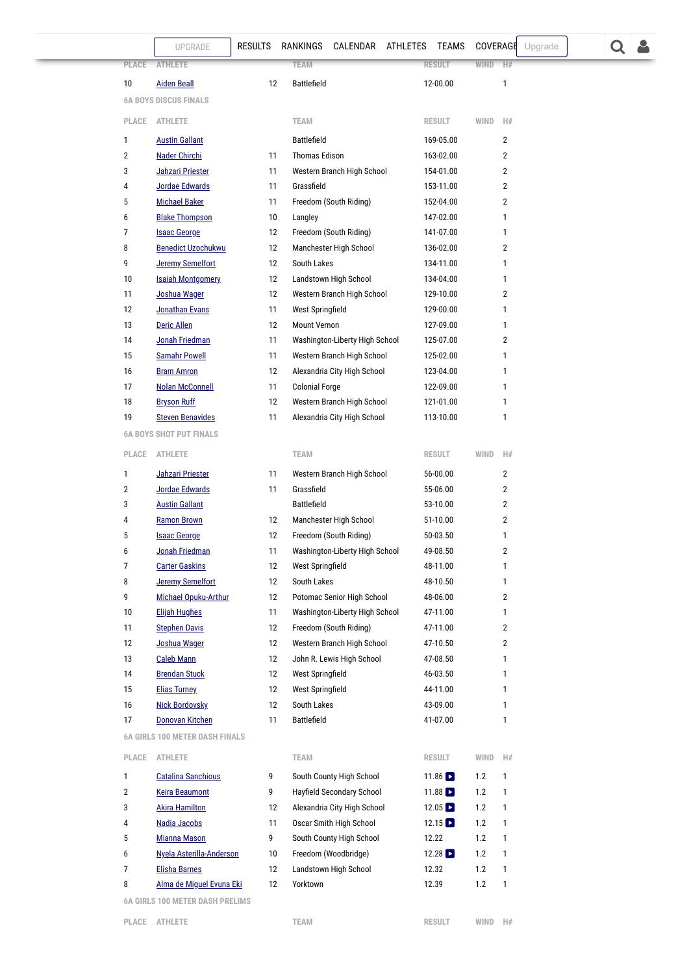<span id="page-7-1"></span><span id="page-7-0"></span>

| <b>ATHLETE</b><br><b>Aiden Beall</b><br><b>6A BOYS DISCUS FINALS</b><br><b>ATHLETE</b><br><b>Austin Gallant</b><br>Nader Chirchi<br>Jahzari Priester<br>Jordae Edwards<br><b>Michael Baker</b><br><b>Blake Thompson</b><br><b>Isaac George</b><br><b>Benedict Uzochukwu</b><br><b>Jeremy Semelfort</b><br><b>Isaiah Montgomery</b><br>Joshua Wager<br>Jonathan Evans<br><b>Deric Allen</b> | 12<br>11<br>11<br>11<br>11<br>10<br>12<br>12<br>12<br>12<br>12<br>11                    | <b>TEAM</b><br><b>Battlefield</b><br><b>TEAM</b><br><b>Battlefield</b><br><b>Thomas Edison</b><br>Grassfield<br>Langley<br>South Lakes<br>Landstown High School | Western Branch High School<br>Freedom (South Riding)<br>Freedom (South Riding)<br>Manchester High School | <b>RESULT</b><br>12-00.00<br><b>RESULT</b><br>169-05.00<br>163-02.00<br>154-01.00<br>153-11.00<br>152-04.00<br>147-02.00<br>141-07.00<br>136-02.00<br>134-11.00                                                                                                                                                                                                                                                                                                                                                        | <b>WIND</b><br>WIND                                                                                                                                                                                                        | H#<br>1<br>H#<br>$\overline{2}$<br>$\overline{2}$<br>$\overline{2}$<br>$\overline{2}$<br>$\overline{2}$<br>1<br>1<br>$\overline{2}$                                                                                                                                                                                                                                                                                                      |        |  |  |
|--------------------------------------------------------------------------------------------------------------------------------------------------------------------------------------------------------------------------------------------------------------------------------------------------------------------------------------------------------------------------------------------|-----------------------------------------------------------------------------------------|-----------------------------------------------------------------------------------------------------------------------------------------------------------------|----------------------------------------------------------------------------------------------------------|------------------------------------------------------------------------------------------------------------------------------------------------------------------------------------------------------------------------------------------------------------------------------------------------------------------------------------------------------------------------------------------------------------------------------------------------------------------------------------------------------------------------|----------------------------------------------------------------------------------------------------------------------------------------------------------------------------------------------------------------------------|------------------------------------------------------------------------------------------------------------------------------------------------------------------------------------------------------------------------------------------------------------------------------------------------------------------------------------------------------------------------------------------------------------------------------------------|--------|--|--|
|                                                                                                                                                                                                                                                                                                                                                                                            |                                                                                         |                                                                                                                                                                 |                                                                                                          |                                                                                                                                                                                                                                                                                                                                                                                                                                                                                                                        |                                                                                                                                                                                                                            |                                                                                                                                                                                                                                                                                                                                                                                                                                          |        |  |  |
|                                                                                                                                                                                                                                                                                                                                                                                            |                                                                                         |                                                                                                                                                                 |                                                                                                          |                                                                                                                                                                                                                                                                                                                                                                                                                                                                                                                        |                                                                                                                                                                                                                            |                                                                                                                                                                                                                                                                                                                                                                                                                                          |        |  |  |
|                                                                                                                                                                                                                                                                                                                                                                                            |                                                                                         |                                                                                                                                                                 |                                                                                                          |                                                                                                                                                                                                                                                                                                                                                                                                                                                                                                                        |                                                                                                                                                                                                                            |                                                                                                                                                                                                                                                                                                                                                                                                                                          |        |  |  |
|                                                                                                                                                                                                                                                                                                                                                                                            |                                                                                         |                                                                                                                                                                 |                                                                                                          |                                                                                                                                                                                                                                                                                                                                                                                                                                                                                                                        |                                                                                                                                                                                                                            |                                                                                                                                                                                                                                                                                                                                                                                                                                          |        |  |  |
|                                                                                                                                                                                                                                                                                                                                                                                            |                                                                                         |                                                                                                                                                                 |                                                                                                          |                                                                                                                                                                                                                                                                                                                                                                                                                                                                                                                        |                                                                                                                                                                                                                            |                                                                                                                                                                                                                                                                                                                                                                                                                                          |        |  |  |
|                                                                                                                                                                                                                                                                                                                                                                                            |                                                                                         |                                                                                                                                                                 |                                                                                                          |                                                                                                                                                                                                                                                                                                                                                                                                                                                                                                                        |                                                                                                                                                                                                                            |                                                                                                                                                                                                                                                                                                                                                                                                                                          |        |  |  |
|                                                                                                                                                                                                                                                                                                                                                                                            |                                                                                         |                                                                                                                                                                 |                                                                                                          |                                                                                                                                                                                                                                                                                                                                                                                                                                                                                                                        |                                                                                                                                                                                                                            |                                                                                                                                                                                                                                                                                                                                                                                                                                          |        |  |  |
|                                                                                                                                                                                                                                                                                                                                                                                            |                                                                                         |                                                                                                                                                                 |                                                                                                          |                                                                                                                                                                                                                                                                                                                                                                                                                                                                                                                        |                                                                                                                                                                                                                            |                                                                                                                                                                                                                                                                                                                                                                                                                                          |        |  |  |
|                                                                                                                                                                                                                                                                                                                                                                                            |                                                                                         |                                                                                                                                                                 |                                                                                                          |                                                                                                                                                                                                                                                                                                                                                                                                                                                                                                                        |                                                                                                                                                                                                                            |                                                                                                                                                                                                                                                                                                                                                                                                                                          |        |  |  |
|                                                                                                                                                                                                                                                                                                                                                                                            |                                                                                         |                                                                                                                                                                 |                                                                                                          |                                                                                                                                                                                                                                                                                                                                                                                                                                                                                                                        |                                                                                                                                                                                                                            |                                                                                                                                                                                                                                                                                                                                                                                                                                          |        |  |  |
|                                                                                                                                                                                                                                                                                                                                                                                            |                                                                                         |                                                                                                                                                                 |                                                                                                          |                                                                                                                                                                                                                                                                                                                                                                                                                                                                                                                        |                                                                                                                                                                                                                            |                                                                                                                                                                                                                                                                                                                                                                                                                                          |        |  |  |
|                                                                                                                                                                                                                                                                                                                                                                                            |                                                                                         |                                                                                                                                                                 |                                                                                                          |                                                                                                                                                                                                                                                                                                                                                                                                                                                                                                                        |                                                                                                                                                                                                                            |                                                                                                                                                                                                                                                                                                                                                                                                                                          |        |  |  |
|                                                                                                                                                                                                                                                                                                                                                                                            |                                                                                         |                                                                                                                                                                 |                                                                                                          |                                                                                                                                                                                                                                                                                                                                                                                                                                                                                                                        |                                                                                                                                                                                                                            | 1                                                                                                                                                                                                                                                                                                                                                                                                                                        |        |  |  |
|                                                                                                                                                                                                                                                                                                                                                                                            |                                                                                         |                                                                                                                                                                 |                                                                                                          | 134-04.00                                                                                                                                                                                                                                                                                                                                                                                                                                                                                                              |                                                                                                                                                                                                                            | 1                                                                                                                                                                                                                                                                                                                                                                                                                                        |        |  |  |
|                                                                                                                                                                                                                                                                                                                                                                                            |                                                                                         |                                                                                                                                                                 | Western Branch High School                                                                               | 129-10.00                                                                                                                                                                                                                                                                                                                                                                                                                                                                                                              |                                                                                                                                                                                                                            | $\overline{2}$                                                                                                                                                                                                                                                                                                                                                                                                                           |        |  |  |
|                                                                                                                                                                                                                                                                                                                                                                                            |                                                                                         | West Springfield                                                                                                                                                |                                                                                                          | 129-00.00                                                                                                                                                                                                                                                                                                                                                                                                                                                                                                              |                                                                                                                                                                                                                            | $\mathbf{1}$                                                                                                                                                                                                                                                                                                                                                                                                                             |        |  |  |
|                                                                                                                                                                                                                                                                                                                                                                                            | 12                                                                                      | <b>Mount Vernon</b>                                                                                                                                             |                                                                                                          | 127-09.00                                                                                                                                                                                                                                                                                                                                                                                                                                                                                                              |                                                                                                                                                                                                                            | 1                                                                                                                                                                                                                                                                                                                                                                                                                                        |        |  |  |
| Jonah Friedman                                                                                                                                                                                                                                                                                                                                                                             | 11                                                                                      |                                                                                                                                                                 |                                                                                                          |                                                                                                                                                                                                                                                                                                                                                                                                                                                                                                                        |                                                                                                                                                                                                                            | $\overline{2}$                                                                                                                                                                                                                                                                                                                                                                                                                           |        |  |  |
| <b>Samahr Powell</b>                                                                                                                                                                                                                                                                                                                                                                       | 11                                                                                      |                                                                                                                                                                 |                                                                                                          |                                                                                                                                                                                                                                                                                                                                                                                                                                                                                                                        |                                                                                                                                                                                                                            | 1                                                                                                                                                                                                                                                                                                                                                                                                                                        |        |  |  |
| <b>Bram Amron</b>                                                                                                                                                                                                                                                                                                                                                                          | 12                                                                                      |                                                                                                                                                                 |                                                                                                          |                                                                                                                                                                                                                                                                                                                                                                                                                                                                                                                        |                                                                                                                                                                                                                            | 1                                                                                                                                                                                                                                                                                                                                                                                                                                        |        |  |  |
| <b>Nolan McConnell</b>                                                                                                                                                                                                                                                                                                                                                                     | 11                                                                                      |                                                                                                                                                                 |                                                                                                          |                                                                                                                                                                                                                                                                                                                                                                                                                                                                                                                        |                                                                                                                                                                                                                            | 1                                                                                                                                                                                                                                                                                                                                                                                                                                        |        |  |  |
| <b>Bryson Ruff</b>                                                                                                                                                                                                                                                                                                                                                                         | 12                                                                                      |                                                                                                                                                                 |                                                                                                          |                                                                                                                                                                                                                                                                                                                                                                                                                                                                                                                        |                                                                                                                                                                                                                            | 1                                                                                                                                                                                                                                                                                                                                                                                                                                        |        |  |  |
| <b>Steven Benavides</b>                                                                                                                                                                                                                                                                                                                                                                    | 11                                                                                      |                                                                                                                                                                 |                                                                                                          |                                                                                                                                                                                                                                                                                                                                                                                                                                                                                                                        |                                                                                                                                                                                                                            | 1                                                                                                                                                                                                                                                                                                                                                                                                                                        |        |  |  |
| <b>6A BOYS SHOT PUT FINALS</b>                                                                                                                                                                                                                                                                                                                                                             |                                                                                         |                                                                                                                                                                 |                                                                                                          |                                                                                                                                                                                                                                                                                                                                                                                                                                                                                                                        |                                                                                                                                                                                                                            |                                                                                                                                                                                                                                                                                                                                                                                                                                          |        |  |  |
| <b>ATHLETE</b>                                                                                                                                                                                                                                                                                                                                                                             |                                                                                         | <b>TEAM</b>                                                                                                                                                     |                                                                                                          |                                                                                                                                                                                                                                                                                                                                                                                                                                                                                                                        |                                                                                                                                                                                                                            | H#                                                                                                                                                                                                                                                                                                                                                                                                                                       |        |  |  |
| Jahzari Priester                                                                                                                                                                                                                                                                                                                                                                           | 11                                                                                      |                                                                                                                                                                 |                                                                                                          |                                                                                                                                                                                                                                                                                                                                                                                                                                                                                                                        |                                                                                                                                                                                                                            | $\overline{2}$                                                                                                                                                                                                                                                                                                                                                                                                                           |        |  |  |
| Jordae Edwards                                                                                                                                                                                                                                                                                                                                                                             | 11                                                                                      | Grassfield                                                                                                                                                      |                                                                                                          |                                                                                                                                                                                                                                                                                                                                                                                                                                                                                                                        |                                                                                                                                                                                                                            | $\overline{2}$                                                                                                                                                                                                                                                                                                                                                                                                                           |        |  |  |
| <b>Austin Gallant</b>                                                                                                                                                                                                                                                                                                                                                                      |                                                                                         | <b>Battlefield</b>                                                                                                                                              |                                                                                                          |                                                                                                                                                                                                                                                                                                                                                                                                                                                                                                                        |                                                                                                                                                                                                                            | $\overline{2}$                                                                                                                                                                                                                                                                                                                                                                                                                           |        |  |  |
| <b>Ramon Brown</b>                                                                                                                                                                                                                                                                                                                                                                         | 12                                                                                      |                                                                                                                                                                 |                                                                                                          |                                                                                                                                                                                                                                                                                                                                                                                                                                                                                                                        |                                                                                                                                                                                                                            | $\overline{2}$                                                                                                                                                                                                                                                                                                                                                                                                                           |        |  |  |
| <b>Isaac George</b>                                                                                                                                                                                                                                                                                                                                                                        | 12                                                                                      |                                                                                                                                                                 |                                                                                                          |                                                                                                                                                                                                                                                                                                                                                                                                                                                                                                                        |                                                                                                                                                                                                                            | 1                                                                                                                                                                                                                                                                                                                                                                                                                                        |        |  |  |
| Jonah Friedman                                                                                                                                                                                                                                                                                                                                                                             | 11                                                                                      |                                                                                                                                                                 |                                                                                                          |                                                                                                                                                                                                                                                                                                                                                                                                                                                                                                                        |                                                                                                                                                                                                                            | $\overline{2}$                                                                                                                                                                                                                                                                                                                                                                                                                           |        |  |  |
| <b>Carter Gaskins</b>                                                                                                                                                                                                                                                                                                                                                                      | 12                                                                                      |                                                                                                                                                                 |                                                                                                          |                                                                                                                                                                                                                                                                                                                                                                                                                                                                                                                        |                                                                                                                                                                                                                            | $\mathbf{1}$                                                                                                                                                                                                                                                                                                                                                                                                                             |        |  |  |
| <b>Jeremy Semelfort</b>                                                                                                                                                                                                                                                                                                                                                                    | 12                                                                                      |                                                                                                                                                                 |                                                                                                          |                                                                                                                                                                                                                                                                                                                                                                                                                                                                                                                        |                                                                                                                                                                                                                            | 1                                                                                                                                                                                                                                                                                                                                                                                                                                        |        |  |  |
| Michael Opuku-Arthur                                                                                                                                                                                                                                                                                                                                                                       | 12                                                                                      |                                                                                                                                                                 |                                                                                                          |                                                                                                                                                                                                                                                                                                                                                                                                                                                                                                                        |                                                                                                                                                                                                                            | $\overline{2}$                                                                                                                                                                                                                                                                                                                                                                                                                           |        |  |  |
| <b>Elijah Hughes</b>                                                                                                                                                                                                                                                                                                                                                                       | 11                                                                                      |                                                                                                                                                                 |                                                                                                          |                                                                                                                                                                                                                                                                                                                                                                                                                                                                                                                        |                                                                                                                                                                                                                            | 1                                                                                                                                                                                                                                                                                                                                                                                                                                        |        |  |  |
| <b>Stephen Davis</b>                                                                                                                                                                                                                                                                                                                                                                       |                                                                                         |                                                                                                                                                                 |                                                                                                          |                                                                                                                                                                                                                                                                                                                                                                                                                                                                                                                        |                                                                                                                                                                                                                            | $\overline{2}$                                                                                                                                                                                                                                                                                                                                                                                                                           |        |  |  |
| Joshua Wager                                                                                                                                                                                                                                                                                                                                                                               |                                                                                         |                                                                                                                                                                 |                                                                                                          |                                                                                                                                                                                                                                                                                                                                                                                                                                                                                                                        |                                                                                                                                                                                                                            | $\overline{2}$                                                                                                                                                                                                                                                                                                                                                                                                                           |        |  |  |
| <b>Caleb Mann</b>                                                                                                                                                                                                                                                                                                                                                                          | 12                                                                                      |                                                                                                                                                                 |                                                                                                          |                                                                                                                                                                                                                                                                                                                                                                                                                                                                                                                        |                                                                                                                                                                                                                            | 1                                                                                                                                                                                                                                                                                                                                                                                                                                        |        |  |  |
|                                                                                                                                                                                                                                                                                                                                                                                            |                                                                                         |                                                                                                                                                                 |                                                                                                          |                                                                                                                                                                                                                                                                                                                                                                                                                                                                                                                        |                                                                                                                                                                                                                            | 1                                                                                                                                                                                                                                                                                                                                                                                                                                        |        |  |  |
|                                                                                                                                                                                                                                                                                                                                                                                            |                                                                                         |                                                                                                                                                                 |                                                                                                          |                                                                                                                                                                                                                                                                                                                                                                                                                                                                                                                        |                                                                                                                                                                                                                            | 1                                                                                                                                                                                                                                                                                                                                                                                                                                        |        |  |  |
|                                                                                                                                                                                                                                                                                                                                                                                            |                                                                                         |                                                                                                                                                                 |                                                                                                          |                                                                                                                                                                                                                                                                                                                                                                                                                                                                                                                        |                                                                                                                                                                                                                            |                                                                                                                                                                                                                                                                                                                                                                                                                                          |        |  |  |
|                                                                                                                                                                                                                                                                                                                                                                                            |                                                                                         |                                                                                                                                                                 |                                                                                                          |                                                                                                                                                                                                                                                                                                                                                                                                                                                                                                                        |                                                                                                                                                                                                                            |                                                                                                                                                                                                                                                                                                                                                                                                                                          |        |  |  |
|                                                                                                                                                                                                                                                                                                                                                                                            |                                                                                         |                                                                                                                                                                 |                                                                                                          |                                                                                                                                                                                                                                                                                                                                                                                                                                                                                                                        |                                                                                                                                                                                                                            |                                                                                                                                                                                                                                                                                                                                                                                                                                          |        |  |  |
| ATHLETE                                                                                                                                                                                                                                                                                                                                                                                    |                                                                                         | <b>TEAM</b>                                                                                                                                                     |                                                                                                          |                                                                                                                                                                                                                                                                                                                                                                                                                                                                                                                        |                                                                                                                                                                                                                            | H#                                                                                                                                                                                                                                                                                                                                                                                                                                       |        |  |  |
| <b>Catalina Sanchious</b>                                                                                                                                                                                                                                                                                                                                                                  | 9                                                                                       |                                                                                                                                                                 |                                                                                                          |                                                                                                                                                                                                                                                                                                                                                                                                                                                                                                                        | 1.2                                                                                                                                                                                                                        | 1                                                                                                                                                                                                                                                                                                                                                                                                                                        |        |  |  |
| <b>Keira Beaumont</b>                                                                                                                                                                                                                                                                                                                                                                      | 9                                                                                       |                                                                                                                                                                 |                                                                                                          |                                                                                                                                                                                                                                                                                                                                                                                                                                                                                                                        | 1.2                                                                                                                                                                                                                        | 1                                                                                                                                                                                                                                                                                                                                                                                                                                        |        |  |  |
| <b>Akira Hamilton</b>                                                                                                                                                                                                                                                                                                                                                                      | 12                                                                                      |                                                                                                                                                                 |                                                                                                          |                                                                                                                                                                                                                                                                                                                                                                                                                                                                                                                        | 1.2                                                                                                                                                                                                                        | 1                                                                                                                                                                                                                                                                                                                                                                                                                                        |        |  |  |
| Nadia Jacobs                                                                                                                                                                                                                                                                                                                                                                               | 11                                                                                      |                                                                                                                                                                 |                                                                                                          |                                                                                                                                                                                                                                                                                                                                                                                                                                                                                                                        | 1.2                                                                                                                                                                                                                        | 1                                                                                                                                                                                                                                                                                                                                                                                                                                        |        |  |  |
| <b>Mianna Mason</b>                                                                                                                                                                                                                                                                                                                                                                        | 9                                                                                       |                                                                                                                                                                 |                                                                                                          |                                                                                                                                                                                                                                                                                                                                                                                                                                                                                                                        | 1.2                                                                                                                                                                                                                        | 1                                                                                                                                                                                                                                                                                                                                                                                                                                        |        |  |  |
|                                                                                                                                                                                                                                                                                                                                                                                            | 10                                                                                      |                                                                                                                                                                 |                                                                                                          |                                                                                                                                                                                                                                                                                                                                                                                                                                                                                                                        | 1.2                                                                                                                                                                                                                        | 1                                                                                                                                                                                                                                                                                                                                                                                                                                        |        |  |  |
| <b>Elisha Barnes</b>                                                                                                                                                                                                                                                                                                                                                                       | 12                                                                                      |                                                                                                                                                                 |                                                                                                          |                                                                                                                                                                                                                                                                                                                                                                                                                                                                                                                        | 1.2                                                                                                                                                                                                                        | 1                                                                                                                                                                                                                                                                                                                                                                                                                                        |        |  |  |
|                                                                                                                                                                                                                                                                                                                                                                                            | 12                                                                                      | Yorktown                                                                                                                                                        |                                                                                                          |                                                                                                                                                                                                                                                                                                                                                                                                                                                                                                                        | 1.2                                                                                                                                                                                                                        | 1                                                                                                                                                                                                                                                                                                                                                                                                                                        |        |  |  |
|                                                                                                                                                                                                                                                                                                                                                                                            | <b>Brendan Stuck</b><br><b>Elias Turney</b><br><b>Nick Bordovsky</b><br>Donovan Kitchen | 11<br><b>6A GIRLS 100 METER DASH FINALS</b><br>Nyela Asterilla-Anderson<br>Alma de Miguel Evuna Eki<br><b>6A GIRLS 100 METER DASH PRELIMS</b>                   | 12<br>12<br>12<br>12<br>12<br><b>Battlefield</b>                                                         | Western Branch High School<br>Alexandria City High School<br><b>Colonial Forge</b><br>Alexandria City High School<br>Manchester High School<br>Freedom (South Riding)<br>West Springfield<br>South Lakes<br>Freedom (South Riding)<br>John R. Lewis High School<br>West Springfield<br>West Springfield<br>South Lakes<br>South County High School<br>Hayfield Secondary School<br>Alexandria City High School<br>Oscar Smith High School<br>South County High School<br>Freedom (Woodbridge)<br>Landstown High School | Washington-Liberty High School<br>Western Branch High School<br>Western Branch High School<br>Washington-Liberty High School<br>Potomac Senior High School<br>Washington-Liberty High School<br>Western Branch High School | 125-07.00<br>125-02.00<br>123-04.00<br>122-09.00<br>121-01.00<br>113-10.00<br><b>RESULT</b><br>WIND<br>56-00.00<br>55-06.00<br>53-10.00<br>51-10.00<br>50-03.50<br>49-08.50<br>48-11.00<br>48-10.50<br>48-06.00<br>47-11.00<br>47-11.00<br>47-10.50<br>47-08.50<br>46-03.50<br>44-11.00<br>43-09.00<br>41-07.00<br><b>RESULT</b><br>WIND<br>11.86<br>11.88 $\blacksquare$<br>$12.05$ $\Box$<br>12.15<br>12.22<br>12.28<br>12.32<br>12.39 | 1<br>1 |  |  |

<span id="page-7-2"></span>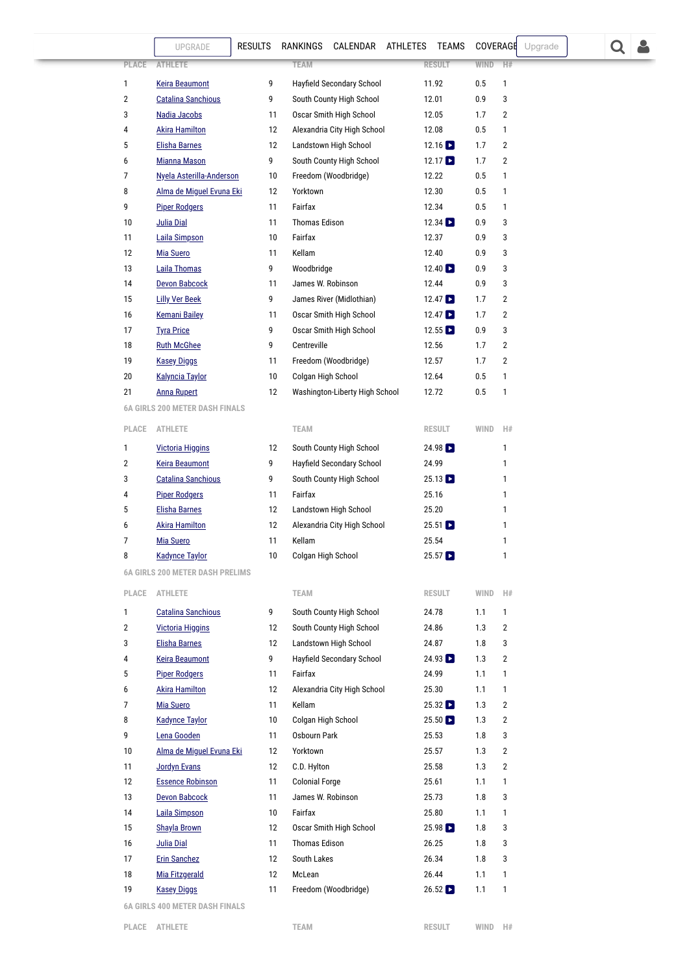|          | UPGRADE                                | <b>RESULTS</b> | RANKINGS              | CALENDAR ATHLETES              | TEAMS                    | COVERAGE   |                | Upgrade |  |  |
|----------|----------------------------------------|----------------|-----------------------|--------------------------------|--------------------------|------------|----------------|---------|--|--|
| PLACE    | <b>ATHLETE</b>                         |                | <b>TEAM</b>           |                                | <b>RESULT</b>            | WIND       | H#             |         |  |  |
| 1        | <b>Keira Beaumont</b>                  | 9              |                       | Hayfield Secondary School      | 11.92                    | 0.5        | 1              |         |  |  |
| 2        | <b>Catalina Sanchious</b>              | 9              |                       | South County High School       | 12.01                    | 0.9        | 3              |         |  |  |
| 3        | Nadia Jacobs                           | 11             |                       | Oscar Smith High School        | 12.05                    | 1.7        | $\overline{2}$ |         |  |  |
| 4        | <b>Akira Hamilton</b>                  | 12             |                       | Alexandria City High School    | 12.08                    | 0.5        | $\mathbf{1}$   |         |  |  |
| 5        | <b>Elisha Barnes</b>                   | 12             |                       | Landstown High School          | $12.16$ $\Box$           | 1.7        | 2              |         |  |  |
| 6        | <b>Mianna Mason</b>                    | 9              |                       | South County High School       | 12.17                    | 1.7        | 2              |         |  |  |
| 7        | Nyela Asterilla-Anderson               | 10             |                       | Freedom (Woodbridge)           | 12.22                    | 0.5        | 1              |         |  |  |
| 8        | Alma de Miguel Evuna Eki               | 12             | Yorktown              |                                | 12.30                    | 0.5        | 1              |         |  |  |
| 9        | <b>Piper Rodgers</b>                   | 11             | Fairfax               |                                | 12.34                    | 0.5        | 1              |         |  |  |
| 10       | Julia Dial                             | 11             | <b>Thomas Edison</b>  |                                | $12.34$ $\blacksquare$   | 0.9        | 3              |         |  |  |
| 11       | <b>Laila Simpson</b>                   | 10             | Fairfax               |                                | 12.37                    | 0.9        | 3              |         |  |  |
| 12       | <b>Mia Suero</b>                       | 11             | Kellam                |                                | 12.40                    | 0.9        | 3              |         |  |  |
| 13       | <b>Laila Thomas</b>                    | 9              | Woodbridge            |                                | 12.40                    | 0.9        | 3              |         |  |  |
| 14       | <b>Devon Babcock</b>                   | 11             | James W. Robinson     |                                | 12.44                    | 0.9        | 3              |         |  |  |
| 15       | <b>Lilly Ver Beek</b>                  | 9              |                       | James River (Midlothian)       | $12.47$ $\triangleright$ | 1.7        | 2              |         |  |  |
| 16       | <b>Kemani Bailey</b>                   | 11             |                       | Oscar Smith High School        | $12.47$ $\Box$           | 1.7        | 2              |         |  |  |
| 17       | <b>Tyra Price</b>                      | 9              |                       | Oscar Smith High School        | $12.55$ $\Box$           | 0.9        | 3              |         |  |  |
| 18       | <b>Ruth McGhee</b>                     | 9              | Centreville           |                                | 12.56                    | 1.7        | 2              |         |  |  |
| 19       | <b>Kasey Diggs</b>                     | 11             |                       | Freedom (Woodbridge)           | 12.57                    | 1.7        | 2              |         |  |  |
| 20       | <b>Kalyncia Taylor</b>                 | 10             | Colgan High School    |                                | 12.64                    | 0.5        | 1              |         |  |  |
| 21       | <b>Anna Rupert</b>                     | 12             |                       | Washington-Liberty High School | 12.72                    | 0.5        | 1              |         |  |  |
|          | <b>6A GIRLS 200 METER DASH FINALS</b>  |                |                       |                                |                          |            |                |         |  |  |
| PLACE    | <b>ATHLETE</b>                         |                | <b>TEAM</b>           |                                | <b>RESULT</b>            | WIND       | H#             |         |  |  |
| 1        | <b>Victoria Higgins</b>                | 12             |                       | South County High School       | $24.98$ $\Box$           |            | 1              |         |  |  |
| 2        | <b>Keira Beaumont</b>                  | 9              |                       | Hayfield Secondary School      | 24.99                    |            | 1              |         |  |  |
| 3        | <b>Catalina Sanchious</b>              | 9              |                       | South County High School       | $25.13$ $\Box$           |            | 1              |         |  |  |
| 4        | <b>Piper Rodgers</b>                   | 11             | Fairfax               |                                | 25.16                    |            | 1              |         |  |  |
| 5        | <b>Elisha Barnes</b>                   | 12             |                       | Landstown High School          | 25.20                    |            | 1              |         |  |  |
| 6        | <b>Akira Hamilton</b>                  | 12             |                       | Alexandria City High School    | $25.51$ $\Box$           |            | 1              |         |  |  |
| 7        | <b>Mia Suero</b>                       | 11             | Kellam                |                                | 25.54                    |            | 1              |         |  |  |
| 8        | <b>Kadynce Taylor</b>                  | 10             | Colgan High School    |                                | $25.57$ $\Box$           |            | 1              |         |  |  |
|          | <b>6A GIRLS 200 METER DASH PRELIMS</b> |                |                       |                                |                          |            |                |         |  |  |
| PLACE    | <b>ATHLETE</b>                         |                | <b>TEAM</b>           |                                | <b>RESULT</b>            | WIND       | H#             |         |  |  |
| 1        | <b>Catalina Sanchious</b>              | 9              |                       | South County High School       | 24.78                    | 1.1        | 1              |         |  |  |
| 2        | <b>Victoria Higgins</b>                | 12             |                       | South County High School       | 24.86                    | 1.3        | $\overline{2}$ |         |  |  |
| 3        | <b>Elisha Barnes</b>                   | 12             |                       | Landstown High School          | 24.87                    | 1.8        | 3              |         |  |  |
| 4        | <b>Keira Beaumont</b>                  | 9              |                       | Hayfield Secondary School      | $24.93$ $\blacksquare$   | 1.3        | $\overline{2}$ |         |  |  |
| 5        | <b>Piper Rodgers</b>                   | 11             | Fairfax               |                                | 24.99                    | 1.1        | 1              |         |  |  |
| 6        | <b>Akira Hamilton</b>                  | 12             |                       | Alexandria City High School    | 25.30                    | 1.1        | 1              |         |  |  |
| 7        | <b>Mia Suero</b>                       | 11             | Kellam                |                                | $25.32$ $\blacksquare$   | 1.3        | $\overline{2}$ |         |  |  |
| 8        | <b>Kadynce Taylor</b>                  | 10             | Colgan High School    |                                | $25.50$ $\Box$           | 1.3        | 2              |         |  |  |
| 9        | Lena Gooden                            | 11             | Osbourn Park          |                                | 25.53                    | 1.8        | 3              |         |  |  |
| 10       | Alma de Miguel Evuna Eki               | 12             | Yorktown              |                                | 25.57                    | 1.3        | 2              |         |  |  |
| 11       | <b>Jordyn Evans</b>                    | 12             | C.D. Hylton           |                                | 25.58                    | 1.3        | $\overline{2}$ |         |  |  |
| 12       | <b>Essence Robinson</b>                | 11             | <b>Colonial Forge</b> |                                | 25.61                    | 1.1        | 1              |         |  |  |
| 13       | <b>Devon Babcock</b>                   | 11             | James W. Robinson     |                                | 25.73                    | 1.8        | 3              |         |  |  |
| 14       | <b>Laila Simpson</b>                   | 10             | Fairfax               |                                | 25.80                    | 1.1        | 1              |         |  |  |
| 15       | <b>Shayla Brown</b>                    | 12             | <b>Thomas Edison</b>  | Oscar Smith High School        | 25.98<br>26.25           | 1.8        | 3<br>3         |         |  |  |
| 16       | <b>Julia Dial</b>                      | 11             | South Lakes           |                                | 26.34                    | 1.8        | 3              |         |  |  |
| 17<br>18 | <b>Erin Sanchez</b><br>Mia Fitzgerald  | 12<br>12       | McLean                |                                | 26.44                    | 1.8<br>1.1 | $\mathbf{1}$   |         |  |  |
| 19       | <b>Kasey Diggs</b>                     | 11             |                       | Freedom (Woodbridge)           | $26.52$ $\Box$           | 1.1        | 1              |         |  |  |
|          | <b>400 METER BACH FIMA</b>             |                |                       |                                |                          |            |                |         |  |  |

<span id="page-8-1"></span>**6A GIRLS 400 METER DASH FINALS**

<span id="page-8-0"></span>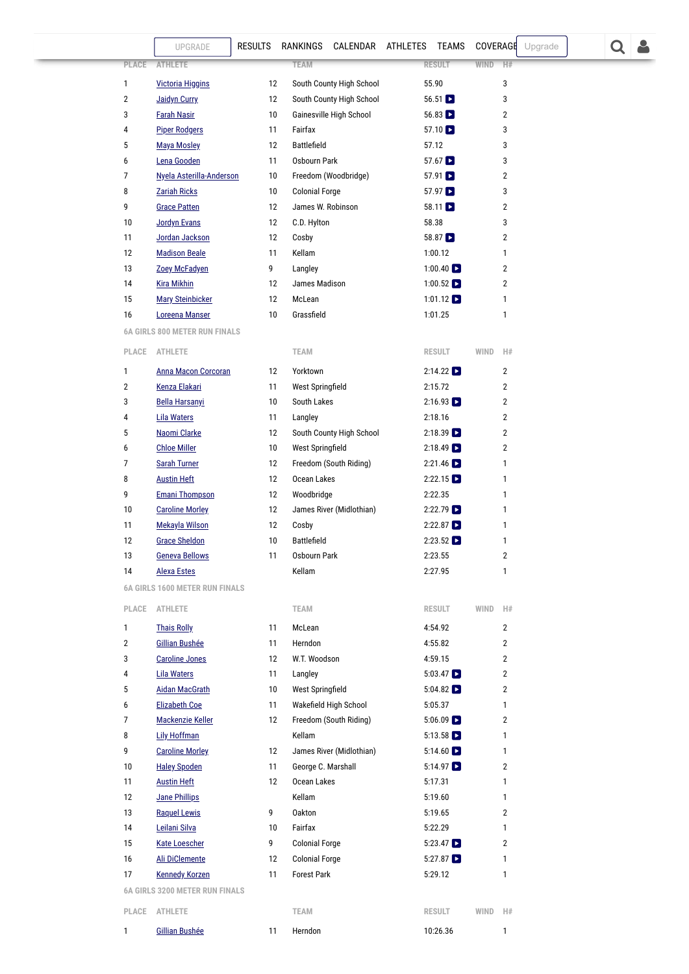|              | UPGRADE                               | <b>RESULTS</b>  | RANKINGS CALENDAR ATHLETES TEAMS |                            | COVERAGE<br>Upgrade |
|--------------|---------------------------------------|-----------------|----------------------------------|----------------------------|---------------------|
| <b>PLACE</b> | <b>ATHLETE</b>                        |                 | <b>TEAM</b>                      | <b>RESULT</b>              | <b>WIND</b><br>H#   |
| 1            | <b>Victoria Higgins</b>               | 12              | South County High School         | 55.90                      | 3                   |
| 2            | <b>Jaidyn Curry</b>                   | 12              | South County High School         | $56.51$ $\blacksquare$     | 3                   |
| 3            | <b>Farah Nasir</b>                    | 10              | Gainesville High School          | $56.83$ $\blacksquare$     | 2                   |
| 4            | <b>Piper Rodgers</b>                  | 11              | Fairfax                          | $57.10$ $\triangleright$   | 3                   |
| 5            | <b>Maya Mosley</b>                    | 12              | <b>Battlefield</b>               | 57.12                      | 3                   |
| 6            | Lena Gooden                           | 11              | Osbourn Park                     | $57.67$ $\triangleright$   | 3                   |
| 7            | Nyela Asterilla-Anderson              | 10              | Freedom (Woodbridge)             | 57.91                      | 2                   |
| 8            | <b>Zariah Ricks</b>                   | 10              | <b>Colonial Forge</b>            | $57.97$ $\blacksquare$     | 3                   |
| 9            | <b>Grace Patten</b>                   | 12              | James W. Robinson                | $58.11$ $\blacksquare$     | 2                   |
| 10           | <b>Jordyn Evans</b>                   | 12              | C.D. Hylton                      | 58.38                      | 3                   |
| 11           | Jordan Jackson                        | 12              | Cosby                            | $58.87$ $\triangleright$   | 2                   |
| 12           | <b>Madison Beale</b>                  | 11              | Kellam                           | 1:00.12                    | 1                   |
| 13           | Zoey McFadyen                         | 9               | Langley                          | $1:00.40$ $\blacksquare$   | 2                   |
| 14           | <b>Kira Mikhin</b>                    | 12              | James Madison                    | 1:00.52 $\triangleright$   | 2                   |
| 15           | <b>Mary Steinbicker</b>               | 12              | McLean                           | 1:01.12 $\Box$             | 1                   |
| 16           | Loreena Manser                        | 10              | Grassfield                       | 1:01.25                    | 1                   |
|              | <b>6A GIRLS 800 METER RUN FINALS</b>  |                 |                                  |                            |                     |
| PLACE        | <b>ATHLETE</b>                        |                 | <b>TEAM</b>                      | <b>RESULT</b>              | <b>WIND</b><br>H#   |
| 1            | <b>Anna Macon Corcoran</b>            | 12              | Yorktown                         | 2:14.22                    | 2                   |
| 2            | <b>Kenza Elakari</b>                  | 11              | West Springfield                 | 2:15.72                    | 2                   |
| 3            | <b>Bella Harsanyi</b>                 | 10              | South Lakes                      | $2:16.93$ $\Box$           | $\overline{2}$      |
| 4            | <b>Lila Waters</b>                    | 11              | Langley                          | 2:18.16                    | 2                   |
| 5            | Naomi Clarke                          | 12              | South County High School         | $2:18.39$ $\triangleright$ | 2                   |
| 6            | <b>Chloe Miller</b>                   | 10              | West Springfield                 | $2:18.49$ $\triangleright$ | 2                   |
| 7            | <b>Sarah Turner</b>                   | 12              | Freedom (South Riding)           | $2:21.46$ $\triangleright$ | 1                   |
| 8            | <b>Austin Heft</b>                    | 12              | Ocean Lakes                      | 2:22.15                    | 1                   |
| 9            | <b>Emani Thompson</b>                 | 12              | Woodbridge                       | 2:22.35                    | 1                   |
| 10           | <b>Caroline Morley</b>                | 12              | James River (Midlothian)         | $2:22.79$ $\triangleright$ | 1                   |
| 11           | <b>Mekayla Wilson</b>                 | 12              | Cosby                            | $2:22.87$ $\Box$           | 1                   |
| 12           | <b>Grace Sheldon</b>                  | 10              | <b>Battlefield</b>               | $2:23.52$ $\triangleright$ | 1                   |
| 13           | <b>Geneva Bellows</b>                 | 11              | Osbourn Park                     | 2:23.55                    | 2                   |
| 14           | <b>Alexa Estes</b>                    |                 | Kellam                           | 2:27.95                    | $\mathbf{1}$        |
|              | <b>6A GIRLS 1600 METER RUN FINALS</b> |                 |                                  |                            |                     |
| PLACE        | <b>ATHLETE</b>                        |                 | <b>TEAM</b>                      | <b>RESULT</b>              | WIND<br>H#          |
| 1            | <b>Thais Rolly</b>                    | 11              | McLean                           | 4:54.92                    | $\overline{2}$      |
| 2            | <b>Gillian Bushée</b>                 | 11              | Herndon                          | 4:55.82                    | $\overline{2}$      |
| 3            | <b>Caroline Jones</b>                 | 12              | W.T. Woodson                     | 4:59.15                    | $\overline{2}$      |
| 4            | <b>Lila Waters</b>                    | 11              | Langley                          | $5:03.47$ $\triangleright$ | $\overline{2}$      |
| 5            | <b>Aidan MacGrath</b>                 | 10              | <b>West Springfield</b>          | $5:04.82$ $\Box$           | $\overline{2}$      |
| 6            | <b>Elizabeth Coe</b>                  | 11              | Wakefield High School            | 5:05.37                    | $\mathbf{1}$        |
| 7            | <b>Mackenzie Keller</b>               | 12              | Freedom (South Riding)           | $5:06.09$ $\Box$           | 2                   |
| 8            | <b>Lily Hoffman</b>                   |                 | Kellam                           | $5:13.58$ $\Box$           | 1                   |
| 9            | <b>Caroline Morley</b>                | 12              | James River (Midlothian)         | $5:14.60$ $\Box$           | 1                   |
| 10           | <b>Haley Spoden</b>                   | 11              | George C. Marshall               | $5:14.97$ $\triangleright$ | 2                   |
| 11           | <b>Austin Heft</b>                    | 12              | Ocean Lakes                      | 5:17.31                    | 1                   |
| 12           | <b>Jane Phillips</b>                  |                 | Kellam                           | 5:19.60                    | $\mathbf{1}$        |
| 13           | <b>Raquel Lewis</b>                   | 9               | Oakton                           | 5:19.65                    | $\overline{2}$      |
| 14           | Leilani Silva                         | 10 <sup>°</sup> | Fairfax                          | 5:22.29                    | 1                   |
| 15           | <b>Kate Loescher</b>                  | 9               | <b>Colonial Forge</b>            | $5:23.47$ $\Box$           | $\overline{2}$      |
| 16           | Ali DiClemente                        | 12              | <b>Colonial Forge</b>            | $5:27.87$ $\Box$           | $\mathbf{1}$        |
| 17           | <b>Kennedy Korzen</b>                 | 11              | <b>Forest Park</b>               | 5:29.12                    | 1                   |
|              | <b>6A GIRLS 3200 METER RUN FINALS</b> |                 |                                  |                            |                     |
|              | PLACE ATHLETE                         |                 | <b>TEAM</b>                      | RESULT                     | WIND<br>H#          |
|              |                                       |                 |                                  |                            |                     |

<span id="page-9-2"></span><span id="page-9-1"></span>**[Gillian Bushée](https://www.milesplit.com/athletes/9364264-gillian-bushe)** 11 [Herndon](https://va.milesplit.com/teams/334-herndon) 10:26.36 1

<span id="page-9-0"></span>

 $Q$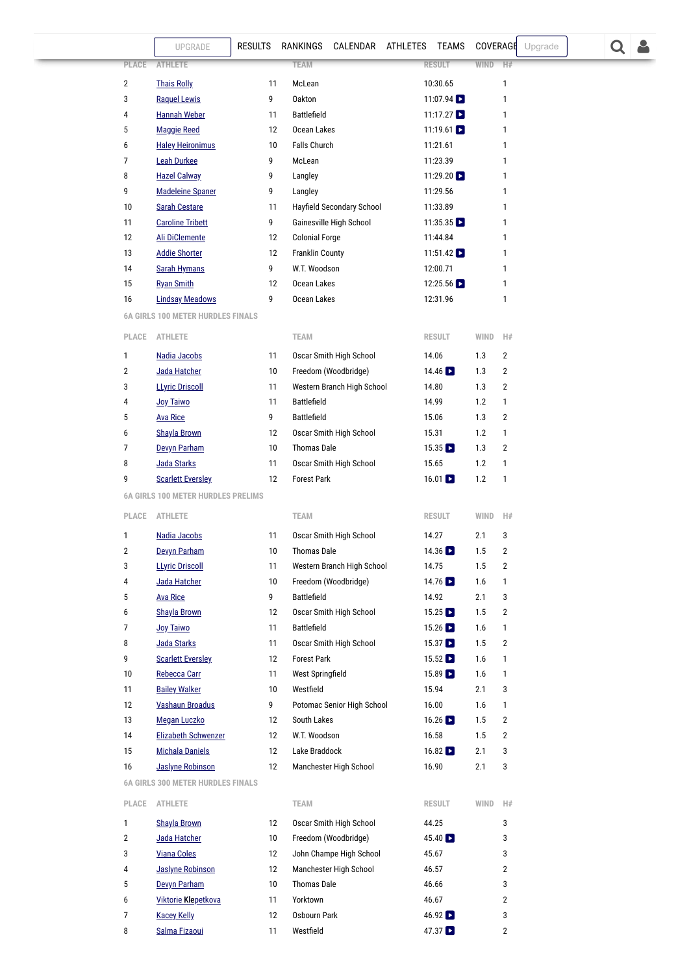<span id="page-10-0"></span>

|                     | <b>RESULTS</b><br>UPGRADE                      |          | RANKINGS<br>CALENDAR ATHLETES TEAMS           |                                         | COVERAGE    | Upgrade           |  |
|---------------------|------------------------------------------------|----------|-----------------------------------------------|-----------------------------------------|-------------|-------------------|--|
| PLACE               | <b>ATHLETE</b>                                 |          | <b>TEAM</b>                                   | <b>RESULT</b>                           | <b>WIND</b> | H#                |  |
|                     |                                                |          |                                               |                                         |             |                   |  |
| $\overline{2}$<br>3 | <b>Thais Rolly</b><br><b>Raquel Lewis</b>      | 11<br>9  | McLean<br><b>Oakton</b>                       | 10:30.65<br>$11:07.94$ $\triangleright$ |             | 1<br>1            |  |
| 4                   | <b>Hannah Weber</b>                            | 11       | <b>Battlefield</b>                            | $11:17.27$ $\triangleright$             |             | 1                 |  |
| 5                   | <b>Maggie Reed</b>                             | 12       | Ocean Lakes                                   | 11:19.61 $\triangleright$               |             | 1                 |  |
| 6                   | <b>Haley Heironimus</b>                        | 10       | Falls Church                                  | 11:21.61                                |             | 1                 |  |
| 7                   | <b>Leah Durkee</b>                             | 9        | McLean                                        | 11:23.39                                |             | 1                 |  |
| 8                   | <b>Hazel Calway</b>                            | 9        | Langley                                       | 11:29.20                                |             | $\mathbf{1}$      |  |
| 9                   | <b>Madeleine Spaner</b>                        | 9        | Langley                                       | 11:29.56                                |             | 1                 |  |
| 10                  | <b>Sarah Cestare</b>                           | 11       | Hayfield Secondary School                     | 11:33.89                                |             | 1                 |  |
| 11                  | <b>Caroline Tribett</b>                        | 9        | Gainesville High School                       | 11:35.35 $\Box$                         |             | 1                 |  |
| 12                  | <b>Ali DiClemente</b>                          | 12       | <b>Colonial Forge</b>                         | 11:44.84                                |             | 1                 |  |
| 13                  | <b>Addie Shorter</b>                           | 12       | <b>Franklin County</b>                        | 11:51.42 $\Box$                         |             | 1                 |  |
| 14                  | <b>Sarah Hymans</b>                            | 9        | W.T. Woodson                                  | 12:00.71                                |             | 1                 |  |
| 15                  | <b>Ryan Smith</b>                              | 12       | Ocean Lakes                                   | 12:25.56                                |             | 1                 |  |
| 16                  | <b>Lindsay Meadows</b>                         | 9        | Ocean Lakes                                   | 12:31.96                                |             | 1                 |  |
|                     | <b>6A GIRLS 100 METER HURDLES FINALS</b>       |          |                                               |                                         |             |                   |  |
| PLACE               | <b>ATHLETE</b>                                 |          | <b>TEAM</b>                                   | <b>RESULT</b>                           | WIND        | H#                |  |
|                     |                                                |          |                                               |                                         |             |                   |  |
| 1                   | Nadia Jacobs                                   | 11       | Oscar Smith High School                       | 14.06                                   | 1.3         | $\overline{2}$    |  |
| $\overline{2}$      | Jada Hatcher                                   | 10       | Freedom (Woodbridge)                          | $14.46$ $\Box$                          | 1.3         | $\overline{2}$    |  |
| 3                   | <b>LLyric Driscoll</b>                         | 11       | Western Branch High School                    | 14.80                                   | 1.3         | $\overline{2}$    |  |
| 4                   | Joy Taiwo                                      | 11       | <b>Battlefield</b>                            | 14.99                                   | 1.2         | 1                 |  |
| 5                   | <b>Ava Rice</b>                                | 9        | <b>Battlefield</b>                            | 15.06                                   | 1.3         | 2                 |  |
| 6                   | <b>Shayla Brown</b>                            | 12       | Oscar Smith High School                       | 15.31                                   | 1.2         | 1                 |  |
| 7                   | Devyn Parham                                   | 10       | <b>Thomas Dale</b>                            | 15.35                                   | 1.3         | 2                 |  |
| 8<br>9              | Jada Starks<br><b>Scarlett Eversley</b>        | 11<br>12 | Oscar Smith High School<br><b>Forest Park</b> | 15.65<br>$16.01$ $\blacksquare$         | 1.2<br>1.2  | 1<br>$\mathbf{1}$ |  |
|                     | <b>6A GIRLS 100 METER HURDLES PRELIMS</b>      |          |                                               |                                         |             |                   |  |
|                     |                                                |          |                                               |                                         |             |                   |  |
| PLACE               | ATHLETE                                        |          | <b>TEAM</b>                                   | <b>RESULT</b>                           | WIND        | H#                |  |
| 1                   | Nadia Jacobs                                   | 11       | Oscar Smith High School                       | 14.27                                   | 2.1         | 3                 |  |
| 2                   | Devyn Parham                                   | 10       | Thomas Dale                                   | $14.36$ $\Box$                          | 1.5         | 2                 |  |
| 3                   | <b>LLyric Driscoll</b>                         | 11       | Western Branch High School                    | 14.75                                   | 1.5         | 2                 |  |
| 4                   | Jada Hatcher                                   | 10       | Freedom (Woodbridge)                          | 14.76 $\Box$                            | $1.6\,$     | 1                 |  |
| 5                   | <b>Ava Rice</b>                                | 9        | Battlefield                                   | 14.92                                   | 2.1         | 3                 |  |
| 6                   | <b>Shayla Brown</b>                            | 12       | Oscar Smith High School                       | $15.25$ $\Box$                          | 1.5         | 2                 |  |
| 7                   | <b>Joy Taiwo</b>                               | 11       | <b>Battlefield</b>                            | $15.26$ $\blacksquare$                  | 1.6         | 1                 |  |
| 8                   | Jada Starks                                    | 11       | Oscar Smith High School                       | $15.37$ $\Box$                          | 1.5         | 2                 |  |
| 9                   | <b>Scarlett Eversley</b>                       | 12       | <b>Forest Park</b>                            | $15.52$ $\Box$                          | 1.6         | 1                 |  |
| 10                  | Rebecca Carr                                   | 11       | West Springfield                              | $15.89$ $\Box$                          | 1.6         | 1                 |  |
| 11<br>12            | <b>Bailey Walker</b><br><b>Vashaun Broadus</b> | 10<br>9  | Westfield<br>Potomac Senior High School       | 15.94<br>16.00                          | 2.1<br>1.6  | 3                 |  |
| 13                  | <b>Megan Luczko</b>                            |          | South Lakes                                   | $16.26$ $\blacksquare$                  |             | 1<br>2            |  |
| 14                  | Elizabeth Schwenzer                            | 12<br>12 | W.T. Woodson                                  | 16.58                                   | 1.5<br>1.5  | 2                 |  |
| 15                  | <b>Michala Daniels</b>                         | 12       | Lake Braddock                                 | $16.82$ $\blacksquare$                  | 2.1         | 3                 |  |
| 16                  | <b>Jaslyne Robinson</b>                        | 12       | Manchester High School                        | 16.90                                   | 2.1         | 3                 |  |
|                     | <b>6A GIRLS 300 METER HURDLES FINALS</b>       |          |                                               |                                         |             |                   |  |
| PLACE               | ATHLETE                                        |          | <b>TEAM</b>                                   | <b>RESULT</b>                           | WIND        | H#                |  |
| 1                   | <b>Shayla Brown</b>                            | 12       | Oscar Smith High School                       | 44.25                                   |             | 3                 |  |
| 2                   | Jada Hatcher                                   | 10       | Freedom (Woodbridge)                          | 45.40                                   |             | 3                 |  |
| 3                   | <b>Viana Coles</b>                             | 12       | John Champe High School                       | 45.67                                   |             | 3                 |  |
| 4                   | <b>Jaslyne Robinson</b>                        | 12       | Manchester High School                        | 46.57                                   |             | $\overline{2}$    |  |
| 5                   | Devyn Parham                                   | 10       | <b>Thomas Dale</b>                            | 46.66                                   |             | 3                 |  |
| 6                   | Viktorie Klepetkova                            | 11       | Yorktown                                      | 46.67                                   |             | 2                 |  |

<span id="page-10-1"></span>[Kacey Kelly](https://www.milesplit.com/athletes/8876891-kacey-kelly) 12 [Osbourn Park](https://va.milesplit.com/teams/423-osbourn-park) 46.92 3 [Salma Fizaoui](https://www.milesplit.com/athletes/9363415-salma-fizaoui) 11 Westfield 47.37 2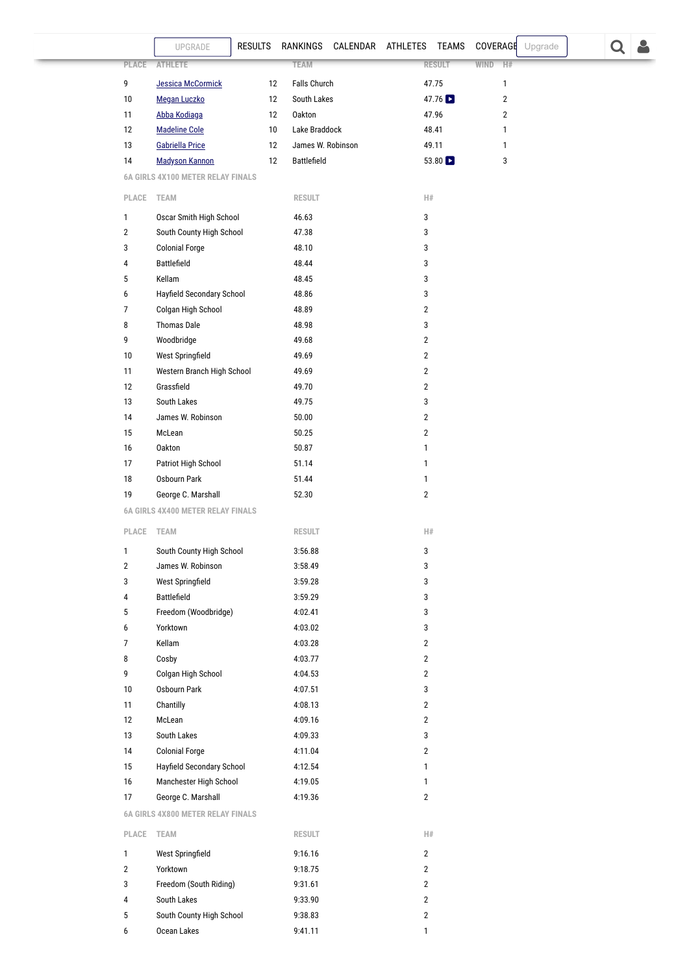<span id="page-11-2"></span><span id="page-11-1"></span><span id="page-11-0"></span>

|                | UPGRADE                                  | <b>RESULTS</b> | RANKINGS           | CALENDAR ATHLETES |                         | TEAMS         | COVERAGE       | Upgrade |  |  |  |
|----------------|------------------------------------------|----------------|--------------------|-------------------|-------------------------|---------------|----------------|---------|--|--|--|
| PLACE          | <b>ATHLETE</b>                           |                | <b>TEAM</b>        |                   |                         | <b>RESULT</b> | WIND<br>H#     |         |  |  |  |
| 9              | <b>Jessica McCormick</b>                 | 12             | Falls Church       |                   |                         | 47.75         | 1              |         |  |  |  |
| 10             | Megan Luczko                             | 12             | South Lakes        |                   |                         | 47.76         | $\overline{2}$ |         |  |  |  |
| 11             | Abba Kodiaga                             | 12             | <b>Oakton</b>      |                   |                         | 47.96         | $\overline{2}$ |         |  |  |  |
| 12             | <b>Madeline Cole</b>                     | 10             | Lake Braddock      |                   |                         | 48.41         | 1              |         |  |  |  |
| 13             | <b>Gabriella Price</b>                   | 12             | James W. Robinson  |                   |                         | 49.11         | 1              |         |  |  |  |
| 14             | <b>Madyson Kannon</b>                    | 12             | Battlefield        |                   |                         | 53.80 $\Box$  | 3              |         |  |  |  |
|                | <b>6A GIRLS 4X100 METER RELAY FINALS</b> |                |                    |                   |                         |               |                |         |  |  |  |
| PLACE          | <b>TEAM</b>                              |                | <b>RESULT</b>      |                   | H#                      |               |                |         |  |  |  |
| 1              | Oscar Smith High School                  |                | 46.63              |                   | 3                       |               |                |         |  |  |  |
| $\overline{2}$ | South County High School                 |                | 47.38              |                   | 3                       |               |                |         |  |  |  |
| 3              | <b>Colonial Forge</b>                    |                | 48.10              |                   | 3                       |               |                |         |  |  |  |
| 4              | Battlefield                              |                | 48.44              |                   | 3                       |               |                |         |  |  |  |
| 5              | Kellam                                   |                | 48.45              |                   | 3                       |               |                |         |  |  |  |
| 6              | Hayfield Secondary School                |                | 48.86              |                   | 3                       |               |                |         |  |  |  |
| 7              | Colgan High School                       |                | 48.89              |                   | $\overline{2}$          |               |                |         |  |  |  |
| 8              | <b>Thomas Dale</b>                       |                | 48.98              |                   | 3                       |               |                |         |  |  |  |
| 9              | Woodbridge                               |                | 49.68              |                   | $\overline{2}$          |               |                |         |  |  |  |
| 10             | West Springfield                         |                | 49.69              |                   | $\overline{2}$          |               |                |         |  |  |  |
| 11             | Western Branch High School               |                | 49.69              |                   | $\overline{2}$          |               |                |         |  |  |  |
| 12<br>13       | Grassfield<br>South Lakes                |                | 49.70<br>49.75     |                   | $\overline{2}$<br>3     |               |                |         |  |  |  |
| 14             | James W. Robinson                        |                | 50.00              |                   | $\overline{2}$          |               |                |         |  |  |  |
| 15             | McLean                                   |                | 50.25              |                   | $\overline{2}$          |               |                |         |  |  |  |
| 16             | Oakton                                   |                | 50.87              |                   | $\mathbf{1}$            |               |                |         |  |  |  |
| 17             | Patriot High School                      |                | 51.14              |                   | $\mathbf{1}$            |               |                |         |  |  |  |
| 18             | Osbourn Park                             |                | 51.44              |                   | 1                       |               |                |         |  |  |  |
| 19             | George C. Marshall                       |                | 52.30              |                   | $\overline{2}$          |               |                |         |  |  |  |
|                | <b>6A GIRLS 4X400 METER RELAY FINALS</b> |                |                    |                   |                         |               |                |         |  |  |  |
| PLACE          | <b>TEAM</b>                              |                | <b>RESULT</b>      |                   | H#                      |               |                |         |  |  |  |
| 1              | South County High School                 |                | 3:56.88            |                   | 3                       |               |                |         |  |  |  |
| $\overline{2}$ | James W. Robinson                        |                | 3:58.49            |                   | 3                       |               |                |         |  |  |  |
| 3              | West Springfield                         |                | 3:59.28            |                   | 3                       |               |                |         |  |  |  |
| 4              | Battlefield                              |                | 3:59.29            |                   | 3                       |               |                |         |  |  |  |
| 5              | Freedom (Woodbridge)                     |                | 4:02.41            |                   | 3                       |               |                |         |  |  |  |
| 6              | Yorktown                                 |                | 4:03.02            |                   | 3                       |               |                |         |  |  |  |
| 7              | Kellam                                   |                | 4:03.28            |                   | $\overline{2}$          |               |                |         |  |  |  |
| 8              | Cosby                                    |                | 4:03.77            |                   | $\overline{2}$          |               |                |         |  |  |  |
| 9              | Colgan High School                       |                | 4:04.53            |                   | $\overline{2}$          |               |                |         |  |  |  |
| 10             | Osbourn Park                             |                | 4:07.51            |                   | 3                       |               |                |         |  |  |  |
| 11             | Chantilly                                |                | 4:08.13            |                   | $\overline{2}$          |               |                |         |  |  |  |
| 12<br>13       | McLean<br>South Lakes                    |                | 4:09.16<br>4:09.33 |                   | $\overline{2}$<br>3     |               |                |         |  |  |  |
| 14             | <b>Colonial Forge</b>                    |                | 4:11.04            |                   | $\overline{2}$          |               |                |         |  |  |  |
| 15             | Hayfield Secondary School                |                | 4:12.54            |                   | 1                       |               |                |         |  |  |  |
| 16             | Manchester High School                   |                | 4:19.05            |                   | 1                       |               |                |         |  |  |  |
| 17             | George C. Marshall                       |                | 4:19.36            |                   | $\overline{2}$          |               |                |         |  |  |  |
|                | <b>6A GIRLS 4X800 METER RELAY FINALS</b> |                |                    |                   |                         |               |                |         |  |  |  |
| PLACE          | <b>TEAM</b>                              |                | <b>RESULT</b>      |                   | H#                      |               |                |         |  |  |  |
| 1              | West Springfield                         |                | 9:16.16            |                   | $\overline{2}$          |               |                |         |  |  |  |
| 2              | Yorktown                                 |                | 9:18.75            |                   | $\overline{2}$          |               |                |         |  |  |  |
| 3              | Freedom (South Riding)                   |                | 9:31.61            |                   | $\overline{2}$          |               |                |         |  |  |  |
| 4              | South Lakes                              |                | 9:33.90            |                   | $\overline{2}$          |               |                |         |  |  |  |
| 5              | South County High School                 |                | 9:38.83            |                   | $\overline{\mathbf{c}}$ |               |                |         |  |  |  |
| 6              | Ocean Lakes                              |                |                    |                   | 1                       |               |                |         |  |  |  |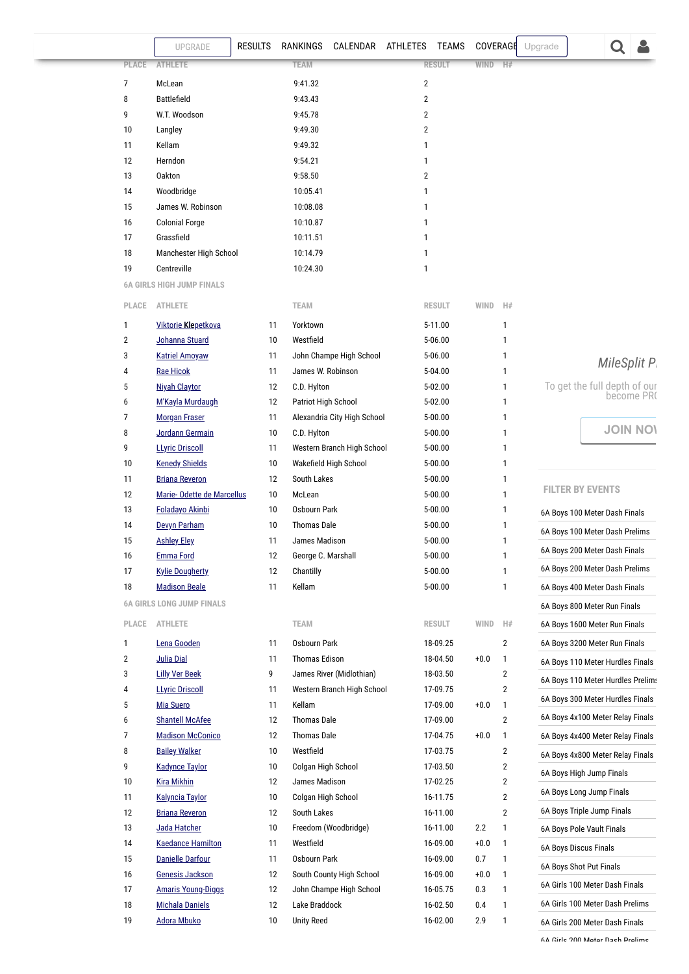<span id="page-12-0"></span>

|                | UPGRADE                                         | <b>RESULTS</b> | RANKINGS                          | CALENDAR ATHLETES TEAMS     |                |                        | COVERAGE |                                  | Upgrade |                                   |                     |
|----------------|-------------------------------------------------|----------------|-----------------------------------|-----------------------------|----------------|------------------------|----------|----------------------------------|---------|-----------------------------------|---------------------|
| PLACE          | <b>ATHLETE</b>                                  |                | <b>TEAM</b>                       |                             |                | <b>RESULT</b>          | WIND     | H#                               |         |                                   |                     |
| $\overline{7}$ | McLean                                          |                | 9:41.32                           |                             | $\overline{2}$ |                        |          |                                  |         |                                   |                     |
| 8              | <b>Battlefield</b>                              |                | 9:43.43                           |                             | $\overline{2}$ |                        |          |                                  |         |                                   |                     |
| 9              | W.T. Woodson                                    |                | 9:45.78                           |                             | 2              |                        |          |                                  |         |                                   |                     |
| 10             | Langley                                         |                | 9:49.30                           |                             | 2              |                        |          |                                  |         |                                   |                     |
| 11             | Kellam                                          |                | 9:49.32                           |                             | 1              |                        |          |                                  |         |                                   |                     |
| 12             | Herndon                                         |                | 9:54.21                           |                             | 1              |                        |          |                                  |         |                                   |                     |
| 13             | <b>Oakton</b>                                   |                | 9:58.50                           |                             | $\overline{2}$ |                        |          |                                  |         |                                   |                     |
| 14             | Woodbridge                                      |                | 10:05.41                          |                             | 1              |                        |          |                                  |         |                                   |                     |
| 15             | James W. Robinson                               |                | 10:08.08                          |                             | 1              |                        |          |                                  |         |                                   |                     |
| 16             | <b>Colonial Forge</b>                           |                | 10:10.87                          |                             | 1              |                        |          |                                  |         |                                   |                     |
| 17             | Grassfield                                      |                | 10:11.51                          |                             | 1              |                        |          |                                  |         |                                   |                     |
| 18             | Manchester High School                          |                | 10:14.79                          |                             | 1              |                        |          |                                  |         |                                   |                     |
| 19             | Centreville                                     |                | 10:24.30                          |                             | 1              |                        |          |                                  |         |                                   |                     |
|                | <b>6A GIRLS HIGH JUMP FINALS</b>                |                |                                   |                             |                |                        |          |                                  |         |                                   |                     |
| PLACE          | <b>ATHLETE</b>                                  |                | <b>TEAM</b>                       |                             |                | <b>RESULT</b>          | WIND     | H#                               |         |                                   |                     |
| 1              | <b>Viktorie Klepetkova</b>                      | 11             | Yorktown                          |                             |                | 5-11.00                |          | 1                                |         |                                   |                     |
| $\overline{2}$ | Johanna Stuard                                  | 10             | Westfield                         |                             |                | 5-06.00                |          | 1                                |         |                                   |                     |
| 3              | <b>Katriel Amoyaw</b>                           | 11             |                                   | John Champe High School     |                | 5-06.00                |          | 1                                |         |                                   | <b>MileSplit P.</b> |
| 4              | <b>Rae Hicok</b>                                | 11             | James W. Robinson                 |                             |                | 5-04.00                |          | 1                                |         |                                   |                     |
| 5              | <b>Niyah Claytor</b>                            | 12             | C.D. Hylton                       |                             |                | 5-02.00                |          | 1                                |         | To get the full depth of our      | become PR(          |
| 6              | M'Kayla Murdaugh                                | 12             | Patriot High School               |                             |                | 5-02.00                |          | 1                                |         |                                   |                     |
| 7              | <b>Morgan Fraser</b>                            | 11             |                                   | Alexandria City High School |                | 5-00.00                |          | 1                                |         |                                   |                     |
| 8              | Jordann Germain                                 | 10             | C.D. Hylton                       |                             |                | 5-00.00                |          | 1                                |         |                                   | <b>JOIN NOI</b>     |
| 9              | <b>LLyric Driscoll</b>                          | 11             |                                   | Western Branch High School  |                | $5 - 00.00$            |          | 1                                |         |                                   |                     |
| 10             | <b>Kenedy Shields</b>                           | 10             |                                   | Wakefield High School       |                | $5 - 00.00$            |          | 1                                |         |                                   |                     |
| 11             | <b>Briana Reveron</b>                           | 12             | South Lakes                       |                             |                | $5 - 00.00$            |          | 1                                |         | <b>FILTER BY EVENTS</b>           |                     |
| 12             | Marie-Odette de Marcellus                       | 10             | McLean                            |                             |                | $5 - 00.00$            |          | 1                                |         |                                   |                     |
| 13             | Foladayo Akinbi                                 | 10             | Osbourn Park                      |                             |                | $5 - 00.00$            |          | 1                                |         | 6A Boys 100 Meter Dash Finals     |                     |
| 14             | Devyn Parham                                    | 10             | <b>Thomas Dale</b>                |                             |                | $5 - 00.00$            |          | 1                                |         | 6A Boys 100 Meter Dash Prelims    |                     |
| 15             | <b>Ashley Eley</b>                              | 11             | James Madison                     |                             |                | $5 - 00.00$            |          | 1                                |         | 6A Boys 200 Meter Dash Finals     |                     |
| 16             | <b>Emma Ford</b>                                | 12             | George C. Marshall                |                             |                | $5 - 00.00$            |          | 1                                |         | 6A Boys 200 Meter Dash Prelims    |                     |
| 17<br>18       | <b>Kylie Dougherty</b><br><b>Madison Beale</b>  | 12<br>11       | Chantilly<br>Kellam               |                             |                | $5 - 00.00$<br>5-00.00 |          | 1                                |         | 6A Boys 400 Meter Dash Finals     |                     |
|                | <b>6A GIRLS LONG JUMP FINALS</b>                |                |                                   |                             |                |                        |          |                                  |         |                                   |                     |
|                |                                                 |                |                                   |                             |                |                        |          |                                  |         | 6A Boys 800 Meter Run Finals      |                     |
| PLACE          | ATHLETE                                         |                | <b>TEAM</b>                       |                             |                | <b>RESULT</b>          | WIND     | H#                               |         | 6A Boys 1600 Meter Run Finals     |                     |
| 1              | Lena Gooden                                     | 11             | Osbourn Park                      |                             |                | 18-09.25               |          | 2                                |         | 6A Boys 3200 Meter Run Finals     |                     |
| $\overline{2}$ | <b>Julia Dial</b>                               | 11             | <b>Thomas Edison</b>              |                             |                | 18-04.50               | $+0.0$   | 1                                |         | 6A Boys 110 Meter Hurdles Finals  |                     |
| 3              | <b>Lilly Ver Beek</b>                           | 9              |                                   | James River (Midlothian)    |                | 18-03.50               |          | 2                                |         | 6A Boys 110 Meter Hurdles Prelim: |                     |
| 4              | <b>LLyric Driscoll</b>                          | 11             |                                   | Western Branch High School  |                | 17-09.75               |          | 2                                |         | 6A Boys 300 Meter Hurdles Finals  |                     |
| 5              | <b>Mia Suero</b>                                | 11             | Kellam                            |                             |                | 17-09.00               | $+0.0$   | $\mathbf{1}$                     |         |                                   |                     |
| 6              | <b>Shantell McAfee</b>                          | 12             | <b>Thomas Dale</b>                |                             |                | 17-09.00               |          | $\overline{2}$                   |         | 6A Boys 4x100 Meter Relay Finals  |                     |
| 7              | <b>Madison McConico</b>                         | 12             | <b>Thomas Dale</b>                |                             |                | 17-04.75               | $+0.0$   | $\mathbf{1}$                     |         | 6A Boys 4x400 Meter Relay Finals  |                     |
| 8              | <b>Bailey Walker</b>                            | 10             | Westfield                         |                             |                | 17-03.75               |          | 2                                |         | 6A Boys 4x800 Meter Relay Finals  |                     |
| 9              | <b>Kadynce Taylor</b>                           | 10             | Colgan High School                |                             |                | 17-03.50               |          | 2                                |         | 6A Boys High Jump Finals          |                     |
| 10             | <b>Kira Mikhin</b>                              | 12             | James Madison                     |                             |                | 17-02.25               |          | $\overline{2}$                   |         | 6A Boys Long Jump Finals          |                     |
| 11<br>12       | <b>Kalyncia Taylor</b><br><b>Briana Reveron</b> | 10<br>12       | Colgan High School<br>South Lakes |                             |                | 16-11.75<br>16-11.00   |          | $\overline{2}$<br>$\overline{2}$ |         | 6A Boys Triple Jump Finals        |                     |
| 13             | Jada Hatcher                                    | 10             |                                   | Freedom (Woodbridge)        |                | 16-11.00               | 2.2      | 1                                |         |                                   |                     |
| 14             | <b>Kaedance Hamilton</b>                        | 11             | Westfield                         |                             |                | 16-09.00               | $+0.0$   | 1                                |         | 6A Boys Pole Vault Finals         |                     |
| 15             | <b>Danielle Darfour</b>                         | 11             | Osbourn Park                      |                             |                | 16-09.00               | 0.7      | 1                                |         | 6A Boys Discus Finals             |                     |
| 16             | Genesis Jackson                                 | 12             |                                   | South County High School    |                | 16-09.00               | $+0.0$   | $\mathbf{1}$                     |         | 6A Boys Shot Put Finals           |                     |
| 17             | <b>Amaris Young-Diggs</b>                       | 12             |                                   | John Champe High School     |                | 16-05.75               | 0.3      | 1                                |         | 6A Girls 100 Meter Dash Finals    |                     |
| 18             | <b>Michala Daniels</b>                          | 12             | Lake Braddock                     |                             |                | 16-02.50               | 0.4      | 1                                |         | 6A Girls 100 Meter Dash Prelims   |                     |
| 19             | <b>Adora Mbuko</b>                              | 10             | <b>Unity Reed</b>                 |                             |                | 16-02.00               | 2.9      | 1                                |         | 6A Girls 200 Meter Dash Finals    |                     |
|                |                                                 |                |                                   |                             |                |                        |          |                                  |         |                                   |                     |

<span id="page-12-1"></span>[6A Girls 200 Meter Dash Prelims](#page-8-0)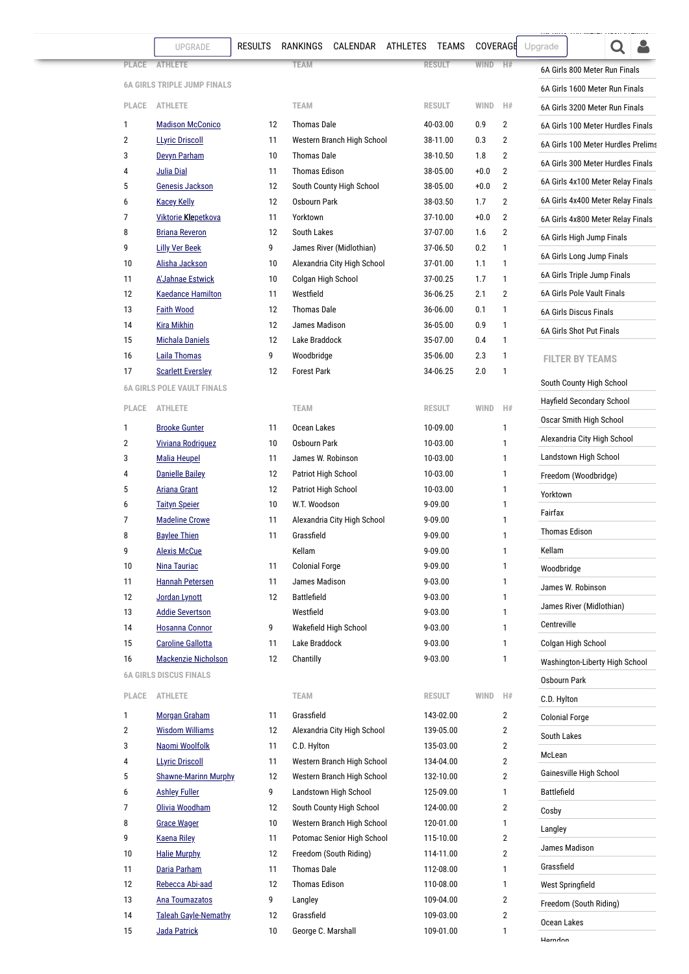## **6OYS**

[6A Girls 200 Meter Dash Prelims](#page-8-0)

<span id="page-13-4"></span><span id="page-13-3"></span><span id="page-13-2"></span><span id="page-13-1"></span><span id="page-13-0"></span>

|              | UPGRADE                                       | <b>RESULTS</b> | RANKINGS              | CALENDAR                                                 | ATHLETES | <b>TEAMS</b>           | <b>COVERAGE</b> |                                | Upgrade                     |                                    |  |  |  |  |
|--------------|-----------------------------------------------|----------------|-----------------------|----------------------------------------------------------|----------|------------------------|-----------------|--------------------------------|-----------------------------|------------------------------------|--|--|--|--|
| <b>PLACE</b> | <b>ATHLETE</b>                                |                | <b>TEAM</b>           |                                                          |          | <b>RESULT</b>          | <b>WIND</b>     | H#                             |                             | 6A Girls 800 Meter Run Finals      |  |  |  |  |
|              | <b>6A GIRLS TRIPLE JUMP FINALS</b>            |                |                       |                                                          |          |                        |                 |                                |                             | 6A Girls 1600 Meter Run Finals     |  |  |  |  |
| PLACE        | <b>ATHLETE</b>                                |                | <b>TEAM</b>           |                                                          |          | <b>RESULT</b>          | <b>WIND</b>     | H#                             |                             | 6A Girls 3200 Meter Run Finals     |  |  |  |  |
| 1            | <b>Madison McConico</b>                       | 12             | <b>Thomas Dale</b>    |                                                          |          | 40-03.00               | 0.9             | $\overline{2}$                 |                             | 6A Girls 100 Meter Hurdles Finals  |  |  |  |  |
| 2            | <b>LLyric Driscoll</b>                        | 11             |                       | Western Branch High School                               |          | 38-11.00               | 0.3             | 2                              |                             | 6A Girls 100 Meter Hurdles Prelims |  |  |  |  |
| 3            | Devyn Parham                                  | 10             | <b>Thomas Dale</b>    |                                                          |          | 38-10.50               | 1.8             | $\overline{2}$                 |                             | 6A Girls 300 Meter Hurdles Finals  |  |  |  |  |
| 4            | <b>Julia Dial</b>                             | 11             | <b>Thomas Edison</b>  |                                                          |          | 38-05.00               | $+0.0$          | $\overline{2}$                 |                             |                                    |  |  |  |  |
| 5            | Genesis Jackson                               | 12             |                       | South County High School                                 |          | 38-05.00               | $+0.0$          | $\overline{2}$                 |                             | 6A Girls 4x100 Meter Relay Finals  |  |  |  |  |
| 6            | <b>Kacey Kelly</b>                            | 12             | Osbourn Park          |                                                          |          | 38-03.50               | 1.7             | 2                              |                             | 6A Girls 4x400 Meter Relay Finals  |  |  |  |  |
| 7            | <b>Viktorie Klepetkova</b>                    | 11             | Yorktown              |                                                          |          | 37-10.00               | $+0.0$          | 2                              |                             | 6A Girls 4x800 Meter Relay Finals  |  |  |  |  |
| 8<br>9       | <b>Briana Reveron</b>                         | 12<br>9        | South Lakes           | James River (Midlothian)                                 |          | 37-07.00<br>37-06.50   | 1.6<br>0.2      | $\overline{2}$<br>$\mathbf{1}$ |                             | 6A Girls High Jump Finals          |  |  |  |  |
| 10           | <b>Lilly Ver Beek</b><br>Alisha Jackson       | 10             |                       | Alexandria City High School                              |          | 37-01.00               | 1.1             | $\mathbf{1}$                   |                             | 6A Girls Long Jump Finals          |  |  |  |  |
| 11           | <b>A'Jahnae Estwick</b>                       | 10             | Colgan High School    |                                                          |          | 37-00.25               | 1.7             | $\mathbf{1}$                   | 6A Girls Triple Jump Finals |                                    |  |  |  |  |
| 12           | <b>Kaedance Hamilton</b>                      | 11             | Westfield             |                                                          |          | 36-06.25<br>2.1        |                 |                                | 6A Girls Pole Vault Finals  |                                    |  |  |  |  |
| 13           | <b>Faith Wood</b>                             | 12             | <b>Thomas Dale</b>    |                                                          |          | 36-06.00               | 0.1             | 1                              |                             | 6A Girls Discus Finals             |  |  |  |  |
| 14           | <b>Kira Mikhin</b>                            | 12             | James Madison         |                                                          |          | 36-05.00               | 0.9             | $\mathbf{1}$                   |                             | 6A Girls Shot Put Finals           |  |  |  |  |
| 15           | <b>Michala Daniels</b>                        | 12             | Lake Braddock         |                                                          |          | 35-07.00               | 0.4             | $\mathbf{1}$                   |                             |                                    |  |  |  |  |
| 16           | Laila Thomas                                  | 9              | Woodbridge            |                                                          |          | 35-06.00               | 2.3             | $\mathbf{1}$                   |                             | <b>FILTER BY TEAMS</b>             |  |  |  |  |
| 17           | <b>Scarlett Eversley</b>                      | 12             | <b>Forest Park</b>    |                                                          |          | 34-06.25               | 2.0             | $\mathbf{1}$                   |                             | South County High School           |  |  |  |  |
|              | <b>6A GIRLS POLE VAULT FINALS</b>             |                |                       |                                                          |          |                        |                 |                                |                             | Hayfield Secondary School          |  |  |  |  |
| PLACE        | <b>ATHLETE</b>                                |                | <b>TEAM</b>           |                                                          |          | <b>RESULT</b>          | <b>WIND</b>     | H#                             |                             | Oscar Smith High School            |  |  |  |  |
| 1            | <b>Brooke Gunter</b>                          | 11             | Ocean Lakes           |                                                          |          | 10-09.00               |                 | 1                              |                             |                                    |  |  |  |  |
| 2            | <b>Viviana Rodriguez</b>                      | 10             | Osbourn Park          |                                                          |          | 10-03.00               |                 | $\mathbf{1}$                   |                             | Alexandria City High School        |  |  |  |  |
| 3            | <b>Malia Heupel</b>                           | 11             | James W. Robinson     |                                                          |          | 10-03.00               |                 | $\mathbf{1}$                   |                             | Landstown High School              |  |  |  |  |
| 4            | <b>Danielle Bailey</b>                        | 12             | Patriot High School   |                                                          |          | 10-03.00               |                 | $\mathbf{1}$                   |                             | Freedom (Woodbridge)               |  |  |  |  |
| 5            | <b>Ariana Grant</b>                           | 12             | Patriot High School   |                                                          |          | 10-03.00               |                 | $\mathbf{1}$                   | Yorktown                    |                                    |  |  |  |  |
| 6<br>7       | <b>Taityn Speier</b><br><b>Madeline Crowe</b> | 10<br>11       | W.T. Woodson          | Alexandria City High School                              |          | 9-09.00<br>9-09.00     |                 | 1<br>1                         | Fairfax                     |                                    |  |  |  |  |
| 8            | <b>Baylee Thien</b>                           | 11             | Grassfield            |                                                          |          | 9-09.00                |                 | $\mathbf{1}$                   |                             | <b>Thomas Edison</b>               |  |  |  |  |
| 9            | <b>Alexis McCue</b>                           |                | Kellam                |                                                          |          | 9-09.00                |                 | $\mathbf{1}$                   | Kellam                      |                                    |  |  |  |  |
| 10           | Nina Tauriac                                  | 11             | <b>Colonial Forge</b> |                                                          |          | 9-09.00                |                 | 1                              | Woodbridge                  |                                    |  |  |  |  |
| 11           | <b>Hannah Petersen</b>                        | 11             | James Madison         |                                                          |          | $9 - 03.00$            |                 | 1                              |                             | James W. Robinson                  |  |  |  |  |
| 12           | Jordan Lynott                                 | 12             | <b>Battlefield</b>    |                                                          |          | $9 - 03.00$            |                 | 1                              |                             |                                    |  |  |  |  |
| 13           | <b>Addie Severtson</b>                        |                | Westfield             |                                                          |          | $9 - 03.00$            |                 | 1                              |                             | James River (Midlothian)           |  |  |  |  |
| 14           | <b>Hosanna Connor</b>                         | 9              |                       | Wakefield High School                                    |          | 9-03.00                |                 | $\mathbf{1}$                   | Centreville                 |                                    |  |  |  |  |
| 15           | <b>Caroline Gallotta</b>                      | 11             | Lake Braddock         |                                                          |          | $9 - 03.00$            |                 | $\mathbf{1}$                   |                             | Colgan High School                 |  |  |  |  |
| 16           | Mackenzie Nicholson                           | 12             | Chantilly             |                                                          |          | 9-03.00                |                 | $\mathbf{1}$                   |                             | Washington-Liberty High School     |  |  |  |  |
|              | <b>6A GIRLS DISCUS FINALS</b>                 |                |                       |                                                          |          |                        |                 |                                | Osbourn Park                |                                    |  |  |  |  |
| PLACE        | <b>ATHLETE</b>                                |                | TEAM                  |                                                          |          | RESULT                 | <b>WIND</b>     | H#                             | C.D. Hylton                 |                                    |  |  |  |  |
| 1            | <b>Morgan Graham</b>                          | 11             | Grassfield            |                                                          |          | 143-02.00              |                 | $\overline{2}$                 |                             | <b>Colonial Forge</b>              |  |  |  |  |
| 2            | <b>Wisdom Williams</b>                        | 12             |                       | Alexandria City High School                              |          | 139-05.00              |                 | $\overline{2}$                 | South Lakes                 |                                    |  |  |  |  |
| 3            | Naomi Woolfolk                                | 11             | C.D. Hylton           |                                                          |          | 135-03.00              |                 | $\overline{2}$                 | McLean                      |                                    |  |  |  |  |
| 4            | <b>LLyric Driscoll</b>                        | 11             |                       | Western Branch High School                               |          | 134-04.00              |                 | $\overline{2}$                 |                             |                                    |  |  |  |  |
| 5            | <b>Shawne-Marinn Murphy</b>                   | 12             |                       | Western Branch High School                               |          | 132-10.00              |                 | $\overline{2}$                 |                             | Gainesville High School            |  |  |  |  |
| 6            | <b>Ashley Fuller</b>                          | 9              |                       | Landstown High School                                    |          | 125-09.00              |                 | $\mathbf{1}$                   | <b>Battlefield</b>          |                                    |  |  |  |  |
| 7            | Olivia Woodham                                | 12             |                       | South County High School                                 |          | 124-00.00              |                 | $\overline{2}$                 | Cosby                       |                                    |  |  |  |  |
| 8<br>9       | <b>Grace Wager</b>                            | 10<br>11       |                       | Western Branch High School<br>Potomac Senior High School |          | 120-01.00<br>115-10.00 |                 | $\mathbf{1}$<br>$\overline{2}$ | Langley                     |                                    |  |  |  |  |
| 10           | <u>Kaena Riley</u><br><b>Halie Murphy</b>     | 12             |                       | Freedom (South Riding)                                   |          | 114-11.00              |                 | $\overline{2}$                 |                             | James Madison                      |  |  |  |  |
| 11           | Daria Parham                                  | 11             | <b>Thomas Dale</b>    |                                                          |          | 112-08.00              |                 | $\mathbf{1}$                   | Grassfield                  |                                    |  |  |  |  |
| 12           | Rebecca Abi-aad                               | 12             | <b>Thomas Edison</b>  |                                                          |          | 110-08.00              |                 | $\mathbf{1}$                   |                             | West Springfield                   |  |  |  |  |
| 13           | Ana Toumazatos                                | 9              | Langley               |                                                          |          | 109-04.00              |                 | $\overline{2}$                 |                             | Freedom (South Riding)             |  |  |  |  |
| 14           | <b>Taleah Gayle-Nemathy</b>                   | 12             | Grassfield            |                                                          |          | 109-03.00              |                 | $\overline{2}$                 |                             |                                    |  |  |  |  |
| 15           | Jada Patrick                                  | 10             | George C. Marshall    |                                                          |          | 109-01.00              |                 | $\mathbf{1}$                   | Ocean Lakes                 |                                    |  |  |  |  |
|              |                                               |                |                       |                                                          |          |                        |                 |                                | <b>Harndon</b>              |                                    |  |  |  |  |